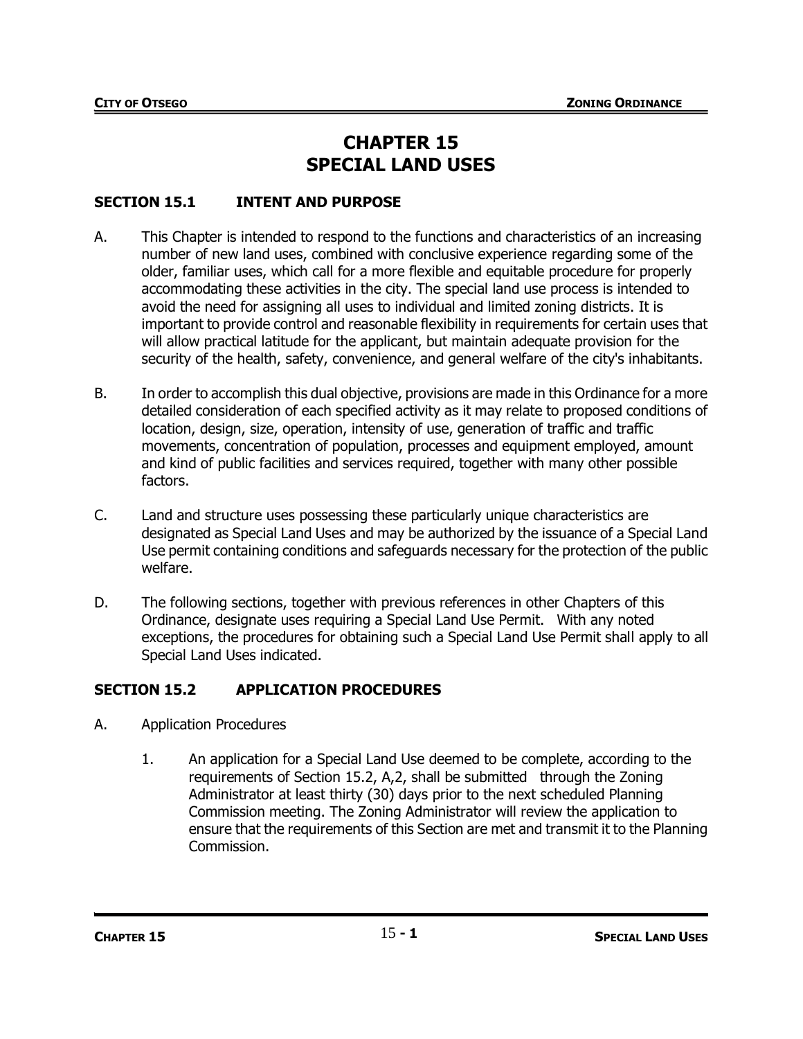# **CHAPTER 15 SPECIAL LAND USES**

# **SECTION 15.1 INTENT AND PURPOSE**

- A. This Chapter is intended to respond to the functions and characteristics of an increasing number of new land uses, combined with conclusive experience regarding some of the older, familiar uses, which call for a more flexible and equitable procedure for properly accommodating these activities in the city. The special land use process is intended to avoid the need for assigning all uses to individual and limited zoning districts. It is important to provide control and reasonable flexibility in requirements for certain uses that will allow practical latitude for the applicant, but maintain adequate provision for the security of the health, safety, convenience, and general welfare of the city's inhabitants.
- B. In order to accomplish this dual objective, provisions are made in this Ordinance for a more detailed consideration of each specified activity as it may relate to proposed conditions of location, design, size, operation, intensity of use, generation of traffic and traffic movements, concentration of population, processes and equipment employed, amount and kind of public facilities and services required, together with many other possible factors.
- C. Land and structure uses possessing these particularly unique characteristics are designated as Special Land Uses and may be authorized by the issuance of a Special Land Use permit containing conditions and safeguards necessary for the protection of the public welfare.
- D. The following sections, together with previous references in other Chapters of this Ordinance, designate uses requiring a Special Land Use Permit. With any noted exceptions, the procedures for obtaining such a Special Land Use Permit shall apply to all Special Land Uses indicated.

# **SECTION 15.2 APPLICATION PROCEDURES**

- A. Application Procedures
	- 1. An application for a Special Land Use deemed to be complete, according to the requirements of Section 15.2, A,2, shall be submitted through the Zoning Administrator at least thirty (30) days prior to the next scheduled Planning Commission meeting. The Zoning Administrator will review the application to ensure that the requirements of this Section are met and transmit it to the Planning Commission.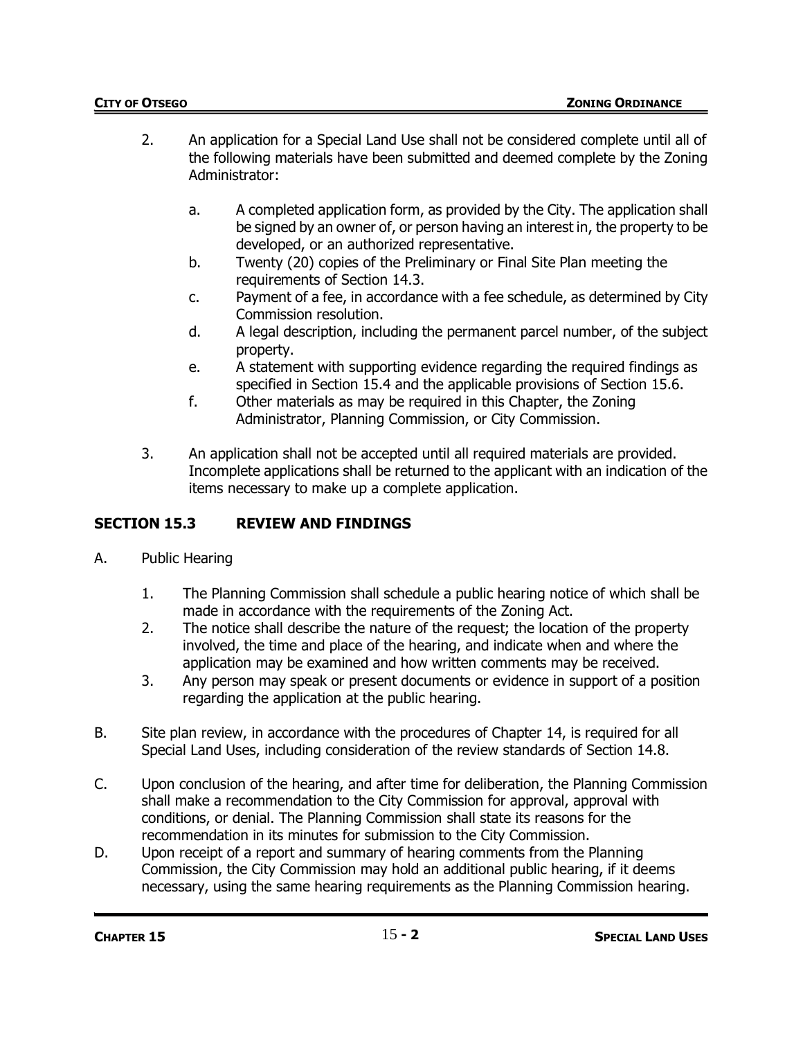- 2. An application for a Special Land Use shall not be considered complete until all of the following materials have been submitted and deemed complete by the Zoning Administrator:
	- a. A completed application form, as provided by the City. The application shall be signed by an owner of, or person having an interest in, the property to be developed, or an authorized representative.
	- b. Twenty (20) copies of the Preliminary or Final Site Plan meeting the requirements of Section 14.3.
	- c. Payment of a fee, in accordance with a fee schedule, as determined by City Commission resolution.
	- d. A legal description, including the permanent parcel number, of the subject property.
	- e. A statement with supporting evidence regarding the required findings as specified in Section 15.4 and the applicable provisions of Section 15.6.
	- f. Other materials as may be required in this Chapter, the Zoning Administrator, Planning Commission, or City Commission.
- 3. An application shall not be accepted until all required materials are provided. Incomplete applications shall be returned to the applicant with an indication of the items necessary to make up a complete application.

# **SECTION 15.3 REVIEW AND FINDINGS**

- A. Public Hearing
	- 1. The Planning Commission shall schedule a public hearing notice of which shall be made in accordance with the requirements of the Zoning Act.
	- 2. The notice shall describe the nature of the request; the location of the property involved, the time and place of the hearing, and indicate when and where the application may be examined and how written comments may be received.
	- 3. Any person may speak or present documents or evidence in support of a position regarding the application at the public hearing.
- B. Site plan review, in accordance with the procedures of Chapter 14, is required for all Special Land Uses, including consideration of the review standards of Section 14.8.
- C. Upon conclusion of the hearing, and after time for deliberation, the Planning Commission shall make a recommendation to the City Commission for approval, approval with conditions, or denial. The Planning Commission shall state its reasons for the recommendation in its minutes for submission to the City Commission.
- D. Upon receipt of a report and summary of hearing comments from the Planning Commission, the City Commission may hold an additional public hearing, if it deems necessary, using the same hearing requirements as the Planning Commission hearing.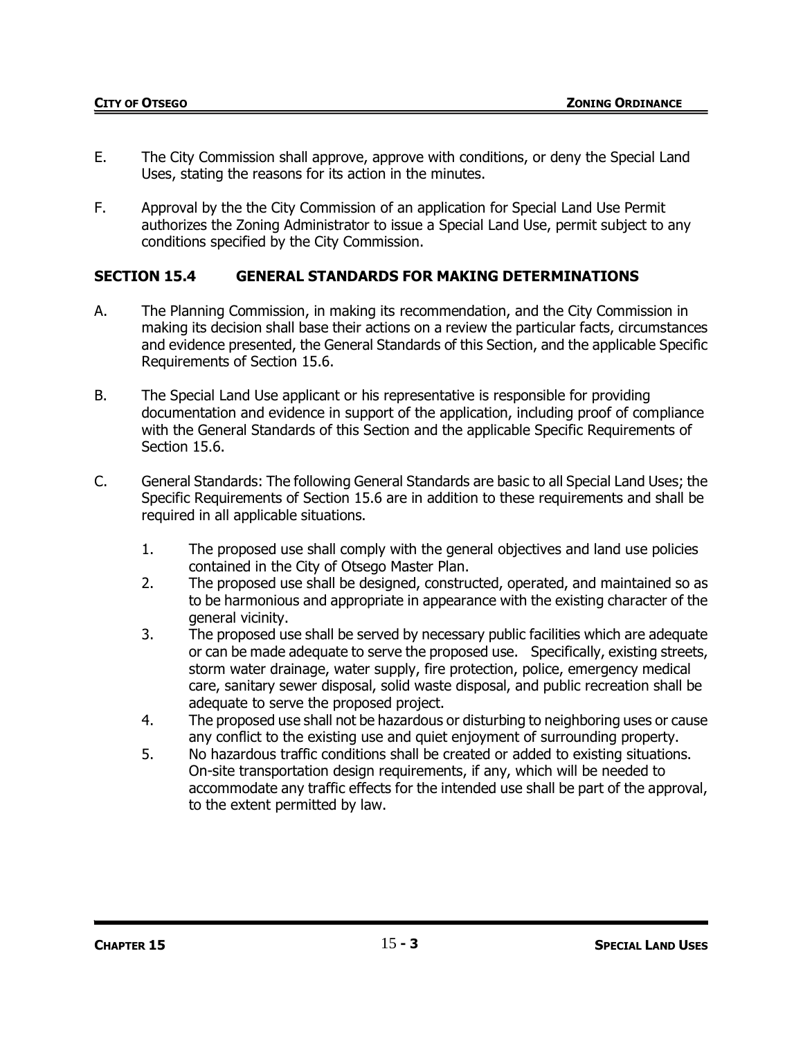- E. The City Commission shall approve, approve with conditions, or deny the Special Land Uses, stating the reasons for its action in the minutes.
- F. Approval by the the City Commission of an application for Special Land Use Permit authorizes the Zoning Administrator to issue a Special Land Use, permit subject to any conditions specified by the City Commission.

# **SECTION 15.4 GENERAL STANDARDS FOR MAKING DETERMINATIONS**

- A. The Planning Commission, in making its recommendation, and the City Commission in making its decision shall base their actions on a review the particular facts, circumstances and evidence presented, the General Standards of this Section, and the applicable Specific Requirements of Section 15.6.
- B. The Special Land Use applicant or his representative is responsible for providing documentation and evidence in support of the application, including proof of compliance with the General Standards of this Section and the applicable Specific Requirements of Section 15.6.
- C. General Standards: The following General Standards are basic to all Special Land Uses; the Specific Requirements of Section 15.6 are in addition to these requirements and shall be required in all applicable situations.
	- 1. The proposed use shall comply with the general objectives and land use policies contained in the City of Otsego Master Plan.
	- 2. The proposed use shall be designed, constructed, operated, and maintained so as to be harmonious and appropriate in appearance with the existing character of the general vicinity.
	- 3. The proposed use shall be served by necessary public facilities which are adequate or can be made adequate to serve the proposed use. Specifically, existing streets, storm water drainage, water supply, fire protection, police, emergency medical care, sanitary sewer disposal, solid waste disposal, and public recreation shall be adequate to serve the proposed project.
	- 4. The proposed use shall not be hazardous or disturbing to neighboring uses or cause any conflict to the existing use and quiet enjoyment of surrounding property.
	- 5. No hazardous traffic conditions shall be created or added to existing situations. On-site transportation design requirements, if any, which will be needed to accommodate any traffic effects for the intended use shall be part of the approval, to the extent permitted by law.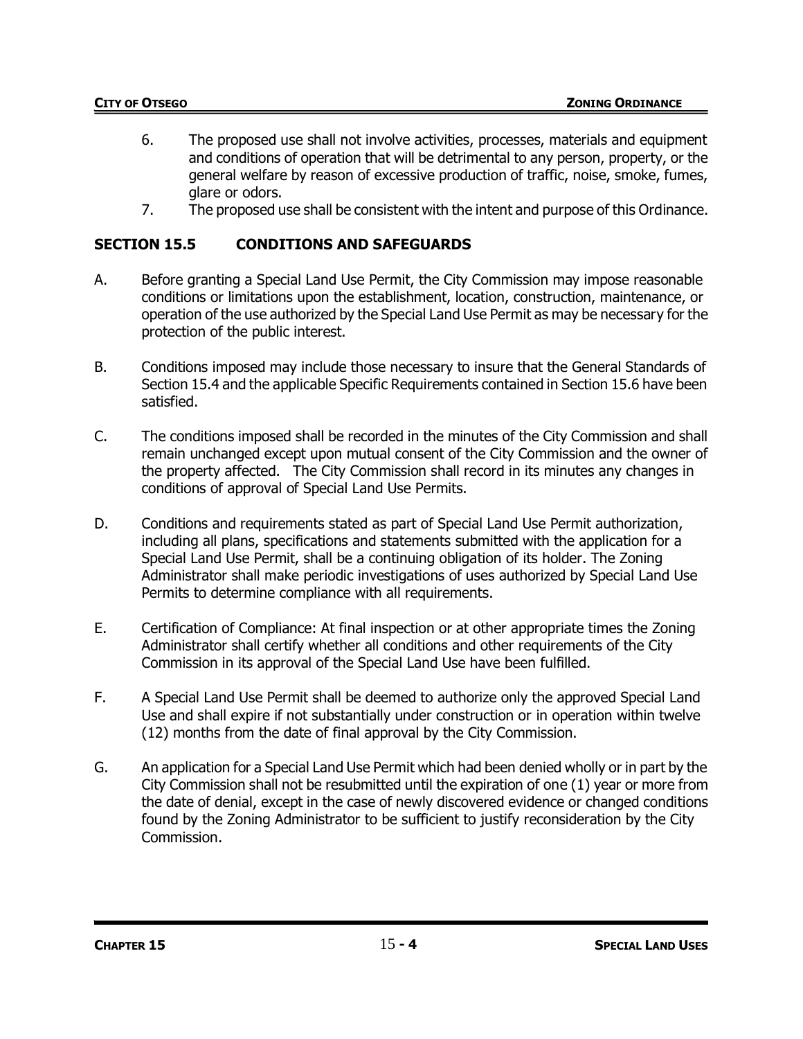- 6. The proposed use shall not involve activities, processes, materials and equipment and conditions of operation that will be detrimental to any person, property, or the general welfare by reason of excessive production of traffic, noise, smoke, fumes, glare or odors.
- 7. The proposed use shall be consistent with the intent and purpose of this Ordinance.

# **SECTION 15.5 CONDITIONS AND SAFEGUARDS**

- A. Before granting a Special Land Use Permit, the City Commission may impose reasonable conditions or limitations upon the establishment, location, construction, maintenance, or operation of the use authorized by the Special Land Use Permit as may be necessary for the protection of the public interest.
- B. Conditions imposed may include those necessary to insure that the General Standards of Section 15.4 and the applicable Specific Requirements contained in Section 15.6 have been satisfied.
- C. The conditions imposed shall be recorded in the minutes of the City Commission and shall remain unchanged except upon mutual consent of the City Commission and the owner of the property affected. The City Commission shall record in its minutes any changes in conditions of approval of Special Land Use Permits.
- D. Conditions and requirements stated as part of Special Land Use Permit authorization, including all plans, specifications and statements submitted with the application for a Special Land Use Permit, shall be a continuing obligation of its holder. The Zoning Administrator shall make periodic investigations of uses authorized by Special Land Use Permits to determine compliance with all requirements.
- E. Certification of Compliance: At final inspection or at other appropriate times the Zoning Administrator shall certify whether all conditions and other requirements of the City Commission in its approval of the Special Land Use have been fulfilled.
- F. A Special Land Use Permit shall be deemed to authorize only the approved Special Land Use and shall expire if not substantially under construction or in operation within twelve (12) months from the date of final approval by the City Commission.
- G. An application for a Special Land Use Permit which had been denied wholly or in part by the City Commission shall not be resubmitted until the expiration of one (1) year or more from the date of denial, except in the case of newly discovered evidence or changed conditions found by the Zoning Administrator to be sufficient to justify reconsideration by the City Commission.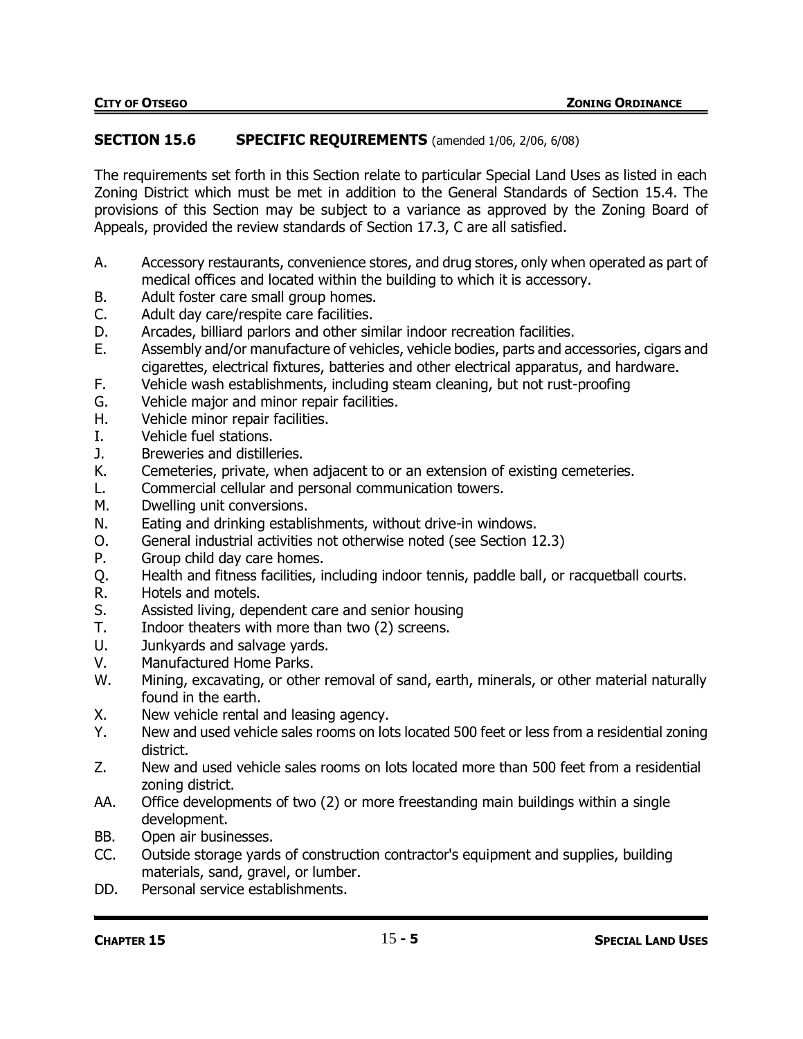### **SECTION 15.6 SPECIFIC REQUIREMENTS** (amended 1/06, 2/06, 6/08)

The requirements set forth in this Section relate to particular Special Land Uses as listed in each Zoning District which must be met in addition to the General Standards of Section 15.4. The provisions of this Section may be subject to a variance as approved by the Zoning Board of Appeals, provided the review standards of Section 17.3, C are all satisfied.

- A. Accessory restaurants, convenience stores, and drug stores, only when operated as part of medical offices and located within the building to which it is accessory.
- B. Adult foster care small group homes.
- C. Adult day care/respite care facilities.
- D. Arcades, billiard parlors and other similar indoor recreation facilities.
- E. Assembly and/or manufacture of vehicles, vehicle bodies, parts and accessories, cigars and cigarettes, electrical fixtures, batteries and other electrical apparatus, and hardware.
- F. Vehicle wash establishments, including steam cleaning, but not rust-proofing
- G. Vehicle major and minor repair facilities.
- H. Vehicle minor repair facilities.
- I. Vehicle fuel stations.
- J. Breweries and distilleries.
- K. Cemeteries, private, when adjacent to or an extension of existing cemeteries.
- L. Commercial cellular and personal communication towers.
- M. Dwelling unit conversions.
- N. Eating and drinking establishments, without drive-in windows.
- O. General industrial activities not otherwise noted (see Section 12.3)
- P. Group child day care homes.
- Q. Health and fitness facilities, including indoor tennis, paddle ball, or racquetball courts.
- R. Hotels and motels.
- S. Assisted living, dependent care and senior housing
- T. Indoor theaters with more than two (2) screens.
- U. Junkyards and salvage yards.
- V. Manufactured Home Parks.
- W. Mining, excavating, or other removal of sand, earth, minerals, or other material naturally found in the earth.
- X. New vehicle rental and leasing agency.
- Y. New and used vehicle sales rooms on lots located 500 feet or less from a residential zoning district.
- Z. New and used vehicle sales rooms on lots located more than 500 feet from a residential zoning district.
- AA. Office developments of two (2) or more freestanding main buildings within a single development.
- BB. Open air businesses.
- CC. Outside storage yards of construction contractor's equipment and supplies, building materials, sand, gravel, or lumber.
- DD. Personal service establishments.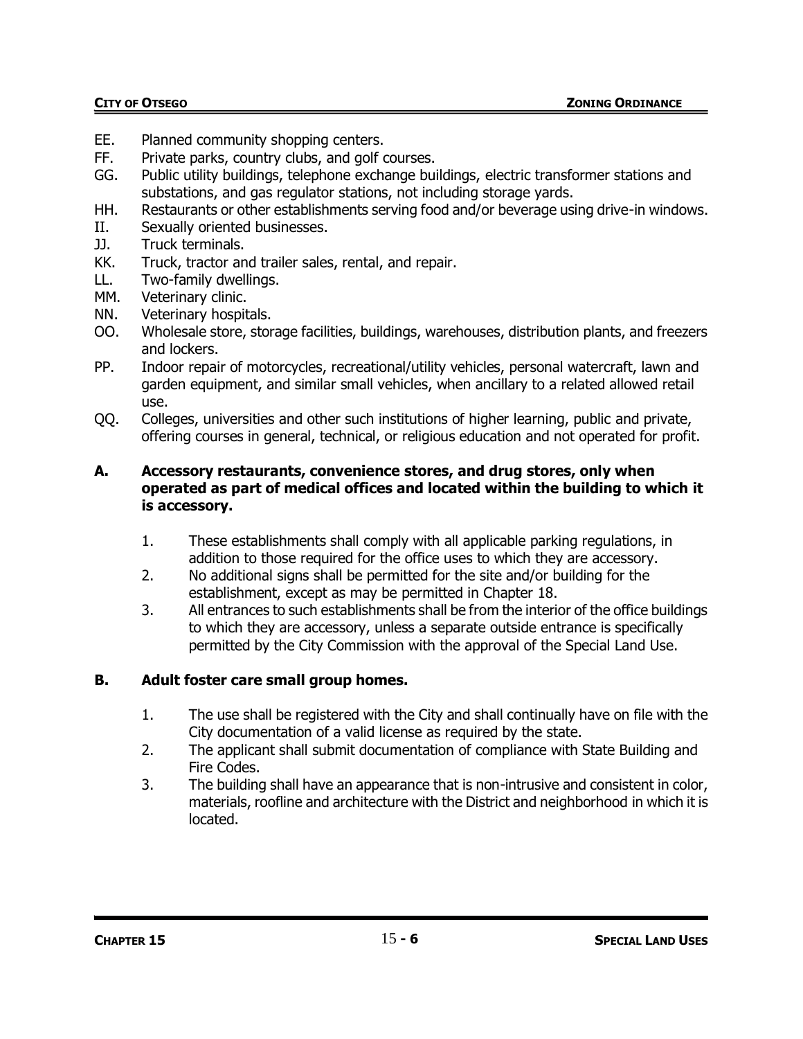- EE. Planned community shopping centers.
- FF. Private parks, country clubs, and golf courses.
- GG. Public utility buildings, telephone exchange buildings, electric transformer stations and substations, and gas regulator stations, not including storage yards.
- HH. Restaurants or other establishments serving food and/or beverage using drive-in windows.
- II. Sexually oriented businesses.
- JJ. Truck terminals.
- KK. Truck, tractor and trailer sales, rental, and repair.
- LL. Two-family dwellings.
- MM. Veterinary clinic.
- NN. Veterinary hospitals.
- OO. Wholesale store, storage facilities, buildings, warehouses, distribution plants, and freezers and lockers.
- PP. Indoor repair of motorcycles, recreational/utility vehicles, personal watercraft, lawn and garden equipment, and similar small vehicles, when ancillary to a related allowed retail use.
- QQ. Colleges, universities and other such institutions of higher learning, public and private, offering courses in general, technical, or religious education and not operated for profit.

### **A. Accessory restaurants, convenience stores, and drug stores, only when operated as part of medical offices and located within the building to which it is accessory.**

- 1. These establishments shall comply with all applicable parking regulations, in addition to those required for the office uses to which they are accessory.
- 2. No additional signs shall be permitted for the site and/or building for the establishment, except as may be permitted in Chapter 18.
- 3. All entrances to such establishments shall be from the interior of the office buildings to which they are accessory, unless a separate outside entrance is specifically permitted by the City Commission with the approval of the Special Land Use.

## **B. Adult foster care small group homes.**

- 1. The use shall be registered with the City and shall continually have on file with the City documentation of a valid license as required by the state.
- 2. The applicant shall submit documentation of compliance with State Building and Fire Codes.
- 3. The building shall have an appearance that is non-intrusive and consistent in color, materials, roofline and architecture with the District and neighborhood in which it is located.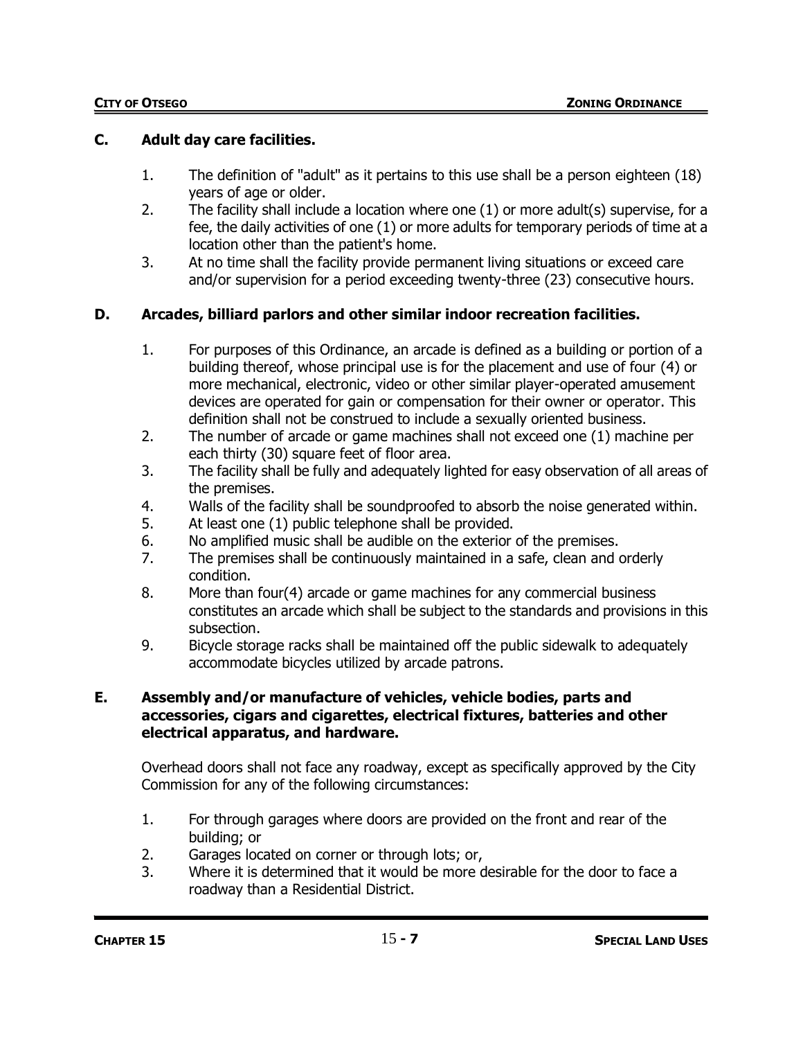### **C. Adult day care facilities.**

- 1. The definition of "adult" as it pertains to this use shall be a person eighteen (18) years of age or older.
- 2. The facility shall include a location where one (1) or more adult(s) supervise, for a fee, the daily activities of one (1) or more adults for temporary periods of time at a location other than the patient's home.
- 3. At no time shall the facility provide permanent living situations or exceed care and/or supervision for a period exceeding twenty-three (23) consecutive hours.

# **D. Arcades, billiard parlors and other similar indoor recreation facilities.**

- 1. For purposes of this Ordinance, an arcade is defined as a building or portion of a building thereof, whose principal use is for the placement and use of four (4) or more mechanical, electronic, video or other similar player-operated amusement devices are operated for gain or compensation for their owner or operator. This definition shall not be construed to include a sexually oriented business.
- 2. The number of arcade or game machines shall not exceed one (1) machine per each thirty (30) square feet of floor area.
- 3. The facility shall be fully and adequately lighted for easy observation of all areas of the premises.
- 4. Walls of the facility shall be soundproofed to absorb the noise generated within.
- 5. At least one (1) public telephone shall be provided.
- 6. No amplified music shall be audible on the exterior of the premises.
- 7. The premises shall be continuously maintained in a safe, clean and orderly condition.
- 8. More than four(4) arcade or game machines for any commercial business constitutes an arcade which shall be subject to the standards and provisions in this subsection.
- 9. Bicycle storage racks shall be maintained off the public sidewalk to adequately accommodate bicycles utilized by arcade patrons.

### **E. Assembly and/or manufacture of vehicles, vehicle bodies, parts and accessories, cigars and cigarettes, electrical fixtures, batteries and other electrical apparatus, and hardware.**

Overhead doors shall not face any roadway, except as specifically approved by the City Commission for any of the following circumstances:

- 1. For through garages where doors are provided on the front and rear of the building; or
- 2. Garages located on corner or through lots; or,
- 3. Where it is determined that it would be more desirable for the door to face a roadway than a Residential District.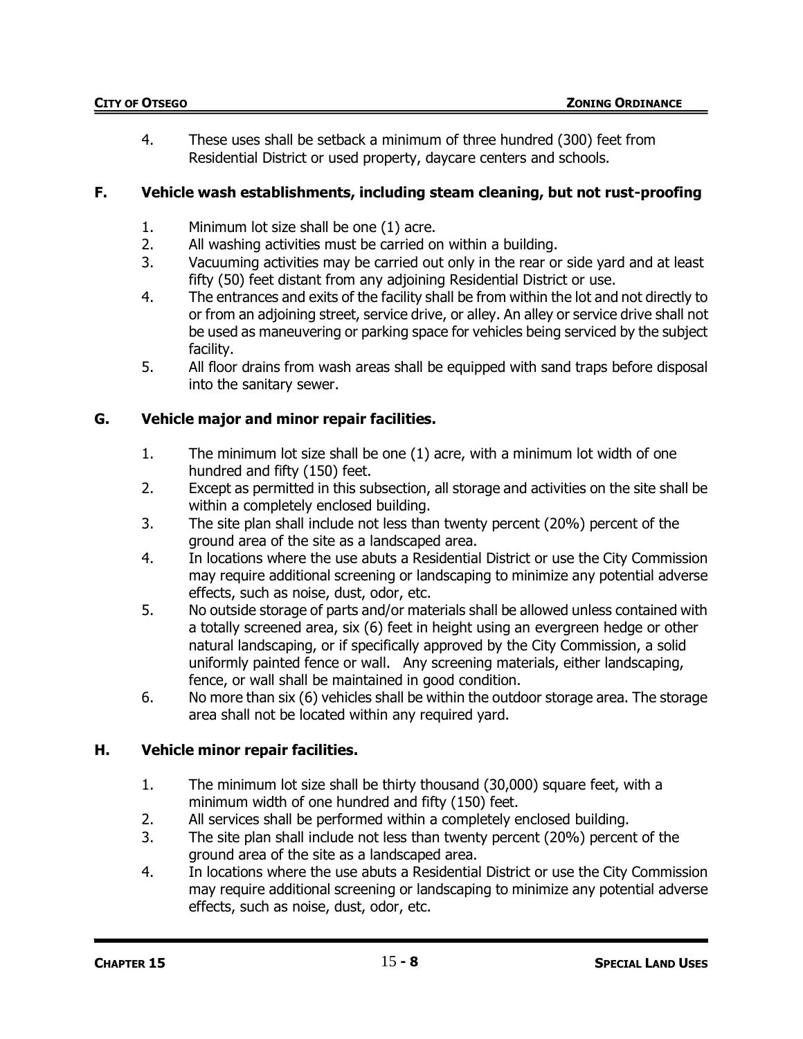4. These uses shall be setback a minimum of three hundred (300) feet from Residential District or used property, daycare centers and schools.

# **F. Vehicle wash establishments, including steam cleaning, but not rust-proofing**

- 1. Minimum lot size shall be one (1) acre.
- 2. All washing activities must be carried on within a building.
- 3. Vacuuming activities may be carried out only in the rear or side yard and at least fifty (50) feet distant from any adjoining Residential District or use.
- 4. The entrances and exits of the facility shall be from within the lot and not directly to or from an adjoining street, service drive, or alley. An alley or service drive shall not be used as maneuvering or parking space for vehicles being serviced by the subject facility.
- 5. All floor drains from wash areas shall be equipped with sand traps before disposal into the sanitary sewer.

# **G. Vehicle major and minor repair facilities.**

- 1. The minimum lot size shall be one (1) acre, with a minimum lot width of one hundred and fifty (150) feet.
- 2. Except as permitted in this subsection, all storage and activities on the site shall be within a completely enclosed building.
- 3. The site plan shall include not less than twenty percent (20%) percent of the ground area of the site as a landscaped area.
- 4. In locations where the use abuts a Residential District or use the City Commission may require additional screening or landscaping to minimize any potential adverse effects, such as noise, dust, odor, etc.
- 5. No outside storage of parts and/or materials shall be allowed unless contained with a totally screened area, six (6) feet in height using an evergreen hedge or other natural landscaping, or if specifically approved by the City Commission, a solid uniformly painted fence or wall. Any screening materials, either landscaping, fence, or wall shall be maintained in good condition.
- 6. No more than six (6) vehicles shall be within the outdoor storage area. The storage area shall not be located within any required yard.

## **H. Vehicle minor repair facilities.**

- 1. The minimum lot size shall be thirty thousand (30,000) square feet, with a minimum width of one hundred and fifty (150) feet.
- 2. All services shall be performed within a completely enclosed building.
- 3. The site plan shall include not less than twenty percent (20%) percent of the ground area of the site as a landscaped area.
- 4. In locations where the use abuts a Residential District or use the City Commission may require additional screening or landscaping to minimize any potential adverse effects, such as noise, dust, odor, etc.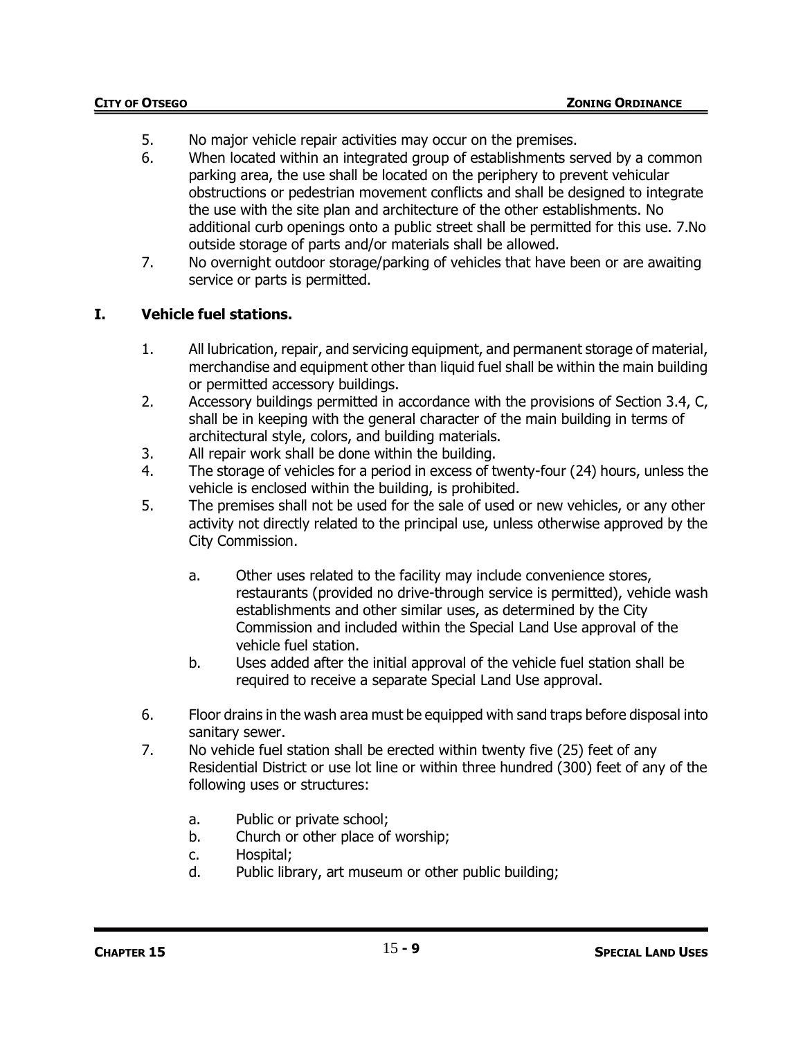- 5. No major vehicle repair activities may occur on the premises.
- 6. When located within an integrated group of establishments served by a common parking area, the use shall be located on the periphery to prevent vehicular obstructions or pedestrian movement conflicts and shall be designed to integrate the use with the site plan and architecture of the other establishments. No additional curb openings onto a public street shall be permitted for this use. 7.No outside storage of parts and/or materials shall be allowed.
- 7. No overnight outdoor storage/parking of vehicles that have been or are awaiting service or parts is permitted.

# **I. Vehicle fuel stations.**

- 1. All lubrication, repair, and servicing equipment, and permanent storage of material, merchandise and equipment other than liquid fuel shall be within the main building or permitted accessory buildings.
- 2. Accessory buildings permitted in accordance with the provisions of Section 3.4, C, shall be in keeping with the general character of the main building in terms of architectural style, colors, and building materials.
- 3. All repair work shall be done within the building.
- 4. The storage of vehicles for a period in excess of twenty-four (24) hours, unless the vehicle is enclosed within the building, is prohibited.
- 5. The premises shall not be used for the sale of used or new vehicles, or any other activity not directly related to the principal use, unless otherwise approved by the City Commission.
	- a. Other uses related to the facility may include convenience stores, restaurants (provided no drive-through service is permitted), vehicle wash establishments and other similar uses, as determined by the City Commission and included within the Special Land Use approval of the vehicle fuel station.
	- b. Uses added after the initial approval of the vehicle fuel station shall be required to receive a separate Special Land Use approval.
- 6. Floor drains in the wash area must be equipped with sand traps before disposal into sanitary sewer.
- 7. No vehicle fuel station shall be erected within twenty five (25) feet of any Residential District or use lot line or within three hundred (300) feet of any of the following uses or structures:
	- a. Public or private school;
	- b. Church or other place of worship;
	- c. Hospital;
	- d. Public library, art museum or other public building;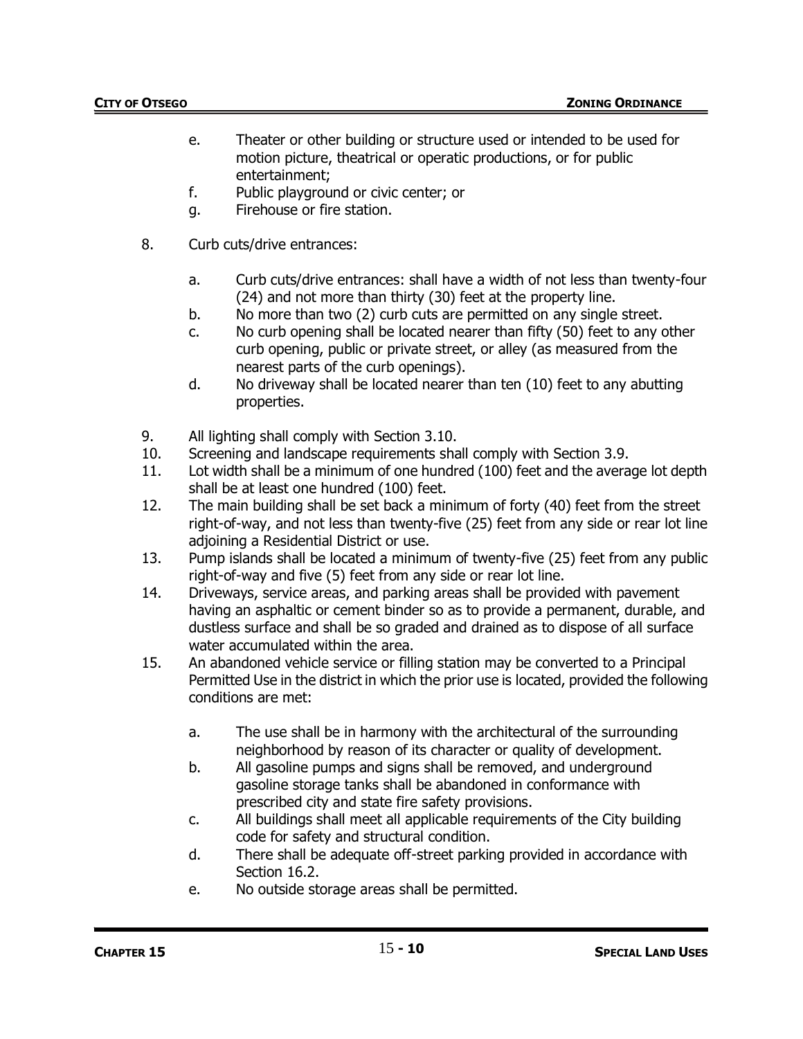- e. Theater or other building or structure used or intended to be used for motion picture, theatrical or operatic productions, or for public entertainment;
- f. Public playground or civic center; or
- g. Firehouse or fire station.
- 8. Curb cuts/drive entrances:
	- a. Curb cuts/drive entrances: shall have a width of not less than twenty-four (24) and not more than thirty (30) feet at the property line.
	- b. No more than two (2) curb cuts are permitted on any single street.
	- c. No curb opening shall be located nearer than fifty (50) feet to any other curb opening, public or private street, or alley (as measured from the nearest parts of the curb openings).
	- d. No driveway shall be located nearer than ten (10) feet to any abutting properties.
- 9. All lighting shall comply with Section 3.10.
- 10. Screening and landscape requirements shall comply with Section 3.9.
- 11. Lot width shall be a minimum of one hundred (100) feet and the average lot depth shall be at least one hundred (100) feet.
- 12. The main building shall be set back a minimum of forty (40) feet from the street right-of-way, and not less than twenty-five (25) feet from any side or rear lot line adjoining a Residential District or use.
- 13. Pump islands shall be located a minimum of twenty-five (25) feet from any public right-of-way and five (5) feet from any side or rear lot line.
- 14. Driveways, service areas, and parking areas shall be provided with pavement having an asphaltic or cement binder so as to provide a permanent, durable, and dustless surface and shall be so graded and drained as to dispose of all surface water accumulated within the area.
- 15. An abandoned vehicle service or filling station may be converted to a Principal Permitted Use in the district in which the prior use is located, provided the following conditions are met:
	- a. The use shall be in harmony with the architectural of the surrounding neighborhood by reason of its character or quality of development.
	- b. All gasoline pumps and signs shall be removed, and underground gasoline storage tanks shall be abandoned in conformance with prescribed city and state fire safety provisions.
	- c. All buildings shall meet all applicable requirements of the City building code for safety and structural condition.
	- d. There shall be adequate off-street parking provided in accordance with Section 16.2.
	- e. No outside storage areas shall be permitted.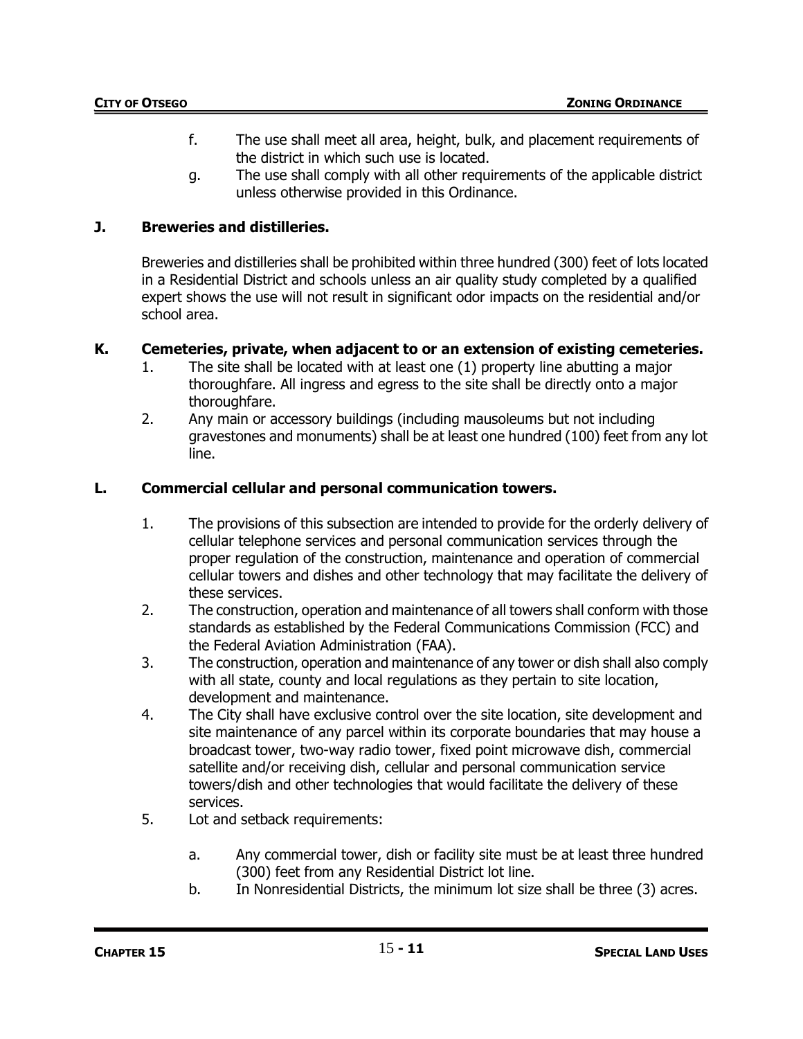- f. The use shall meet all area, height, bulk, and placement requirements of the district in which such use is located.
- g. The use shall comply with all other requirements of the applicable district unless otherwise provided in this Ordinance.

# **J. Breweries and distilleries.**

Breweries and distilleries shall be prohibited within three hundred (300) feet of lots located in a Residential District and schools unless an air quality study completed by a qualified expert shows the use will not result in significant odor impacts on the residential and/or school area.

## **K. Cemeteries, private, when adjacent to or an extension of existing cemeteries.**

- 1. The site shall be located with at least one (1) property line abutting a major thoroughfare. All ingress and egress to the site shall be directly onto a major thoroughfare.
- 2. Any main or accessory buildings (including mausoleums but not including gravestones and monuments) shall be at least one hundred (100) feet from any lot line.

## **L. Commercial cellular and personal communication towers.**

- 1. The provisions of this subsection are intended to provide for the orderly delivery of cellular telephone services and personal communication services through the proper regulation of the construction, maintenance and operation of commercial cellular towers and dishes and other technology that may facilitate the delivery of these services.
- 2. The construction, operation and maintenance of all towers shall conform with those standards as established by the Federal Communications Commission (FCC) and the Federal Aviation Administration (FAA).
- 3. The construction, operation and maintenance of any tower or dish shall also comply with all state, county and local regulations as they pertain to site location, development and maintenance.
- 4. The City shall have exclusive control over the site location, site development and site maintenance of any parcel within its corporate boundaries that may house a broadcast tower, two-way radio tower, fixed point microwave dish, commercial satellite and/or receiving dish, cellular and personal communication service towers/dish and other technologies that would facilitate the delivery of these services.
- 5. Lot and setback requirements:
	- a. Any commercial tower, dish or facility site must be at least three hundred (300) feet from any Residential District lot line.
	- b. In Nonresidential Districts, the minimum lot size shall be three (3) acres.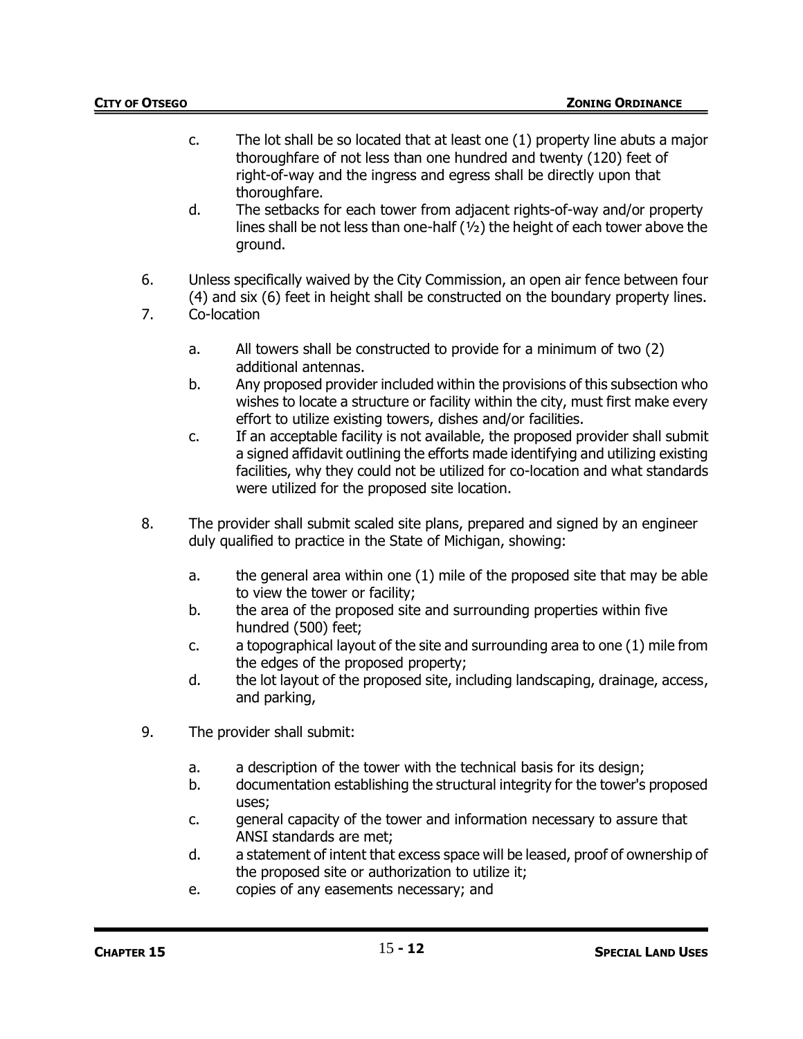- c. The lot shall be so located that at least one (1) property line abuts a major thoroughfare of not less than one hundred and twenty (120) feet of right-of-way and the ingress and egress shall be directly upon that thoroughfare.
- d. The setbacks for each tower from adjacent rights-of-way and/or property lines shall be not less than one-half (½) the height of each tower above the ground.
- 6. Unless specifically waived by the City Commission, an open air fence between four (4) and six (6) feet in height shall be constructed on the boundary property lines.
- 7. Co-location
	- a. All towers shall be constructed to provide for a minimum of two (2) additional antennas.
	- b. Any proposed provider included within the provisions of this subsection who wishes to locate a structure or facility within the city, must first make every effort to utilize existing towers, dishes and/or facilities.
	- c. If an acceptable facility is not available, the proposed provider shall submit a signed affidavit outlining the efforts made identifying and utilizing existing facilities, why they could not be utilized for co-location and what standards were utilized for the proposed site location.
- 8. The provider shall submit scaled site plans, prepared and signed by an engineer duly qualified to practice in the State of Michigan, showing:
	- a. the general area within one (1) mile of the proposed site that may be able to view the tower or facility;
	- b. the area of the proposed site and surrounding properties within five hundred (500) feet;
	- c. a topographical layout of the site and surrounding area to one (1) mile from the edges of the proposed property;
	- d. the lot layout of the proposed site, including landscaping, drainage, access, and parking,
- 9. The provider shall submit:
	- a. a description of the tower with the technical basis for its design;
	- b. documentation establishing the structural integrity for the tower's proposed uses;
	- c. general capacity of the tower and information necessary to assure that ANSI standards are met;
	- d. a statement of intent that excess space will be leased, proof of ownership of the proposed site or authorization to utilize it;
	- e. copies of any easements necessary; and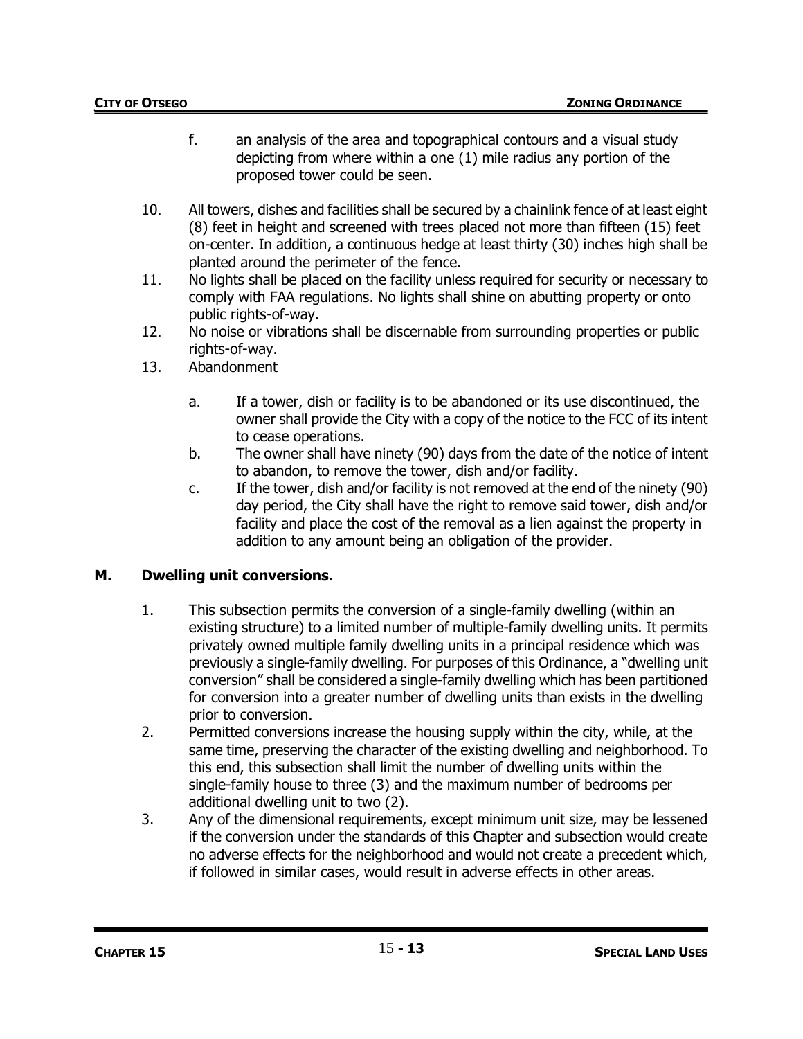- f. an analysis of the area and topographical contours and a visual study depicting from where within a one (1) mile radius any portion of the proposed tower could be seen.
- 10. All towers, dishes and facilities shall be secured by a chainlink fence of at least eight (8) feet in height and screened with trees placed not more than fifteen (15) feet on-center. In addition, a continuous hedge at least thirty (30) inches high shall be planted around the perimeter of the fence.
- 11. No lights shall be placed on the facility unless required for security or necessary to comply with FAA regulations. No lights shall shine on abutting property or onto public rights-of-way.
- 12. No noise or vibrations shall be discernable from surrounding properties or public rights-of-way.
- 13. Abandonment
	- a. If a tower, dish or facility is to be abandoned or its use discontinued, the owner shall provide the City with a copy of the notice to the FCC of its intent to cease operations.
	- b. The owner shall have ninety (90) days from the date of the notice of intent to abandon, to remove the tower, dish and/or facility.
	- c. If the tower, dish and/or facility is not removed at the end of the ninety (90) day period, the City shall have the right to remove said tower, dish and/or facility and place the cost of the removal as a lien against the property in addition to any amount being an obligation of the provider.

## **M. Dwelling unit conversions.**

- 1. This subsection permits the conversion of a single-family dwelling (within an existing structure) to a limited number of multiple-family dwelling units. It permits privately owned multiple family dwelling units in a principal residence which was previously a single-family dwelling. For purposes of this Ordinance, a "dwelling unit conversion" shall be considered a single-family dwelling which has been partitioned for conversion into a greater number of dwelling units than exists in the dwelling prior to conversion.
- 2. Permitted conversions increase the housing supply within the city, while, at the same time, preserving the character of the existing dwelling and neighborhood. To this end, this subsection shall limit the number of dwelling units within the single-family house to three (3) and the maximum number of bedrooms per additional dwelling unit to two (2).
- 3. Any of the dimensional requirements, except minimum unit size, may be lessened if the conversion under the standards of this Chapter and subsection would create no adverse effects for the neighborhood and would not create a precedent which, if followed in similar cases, would result in adverse effects in other areas.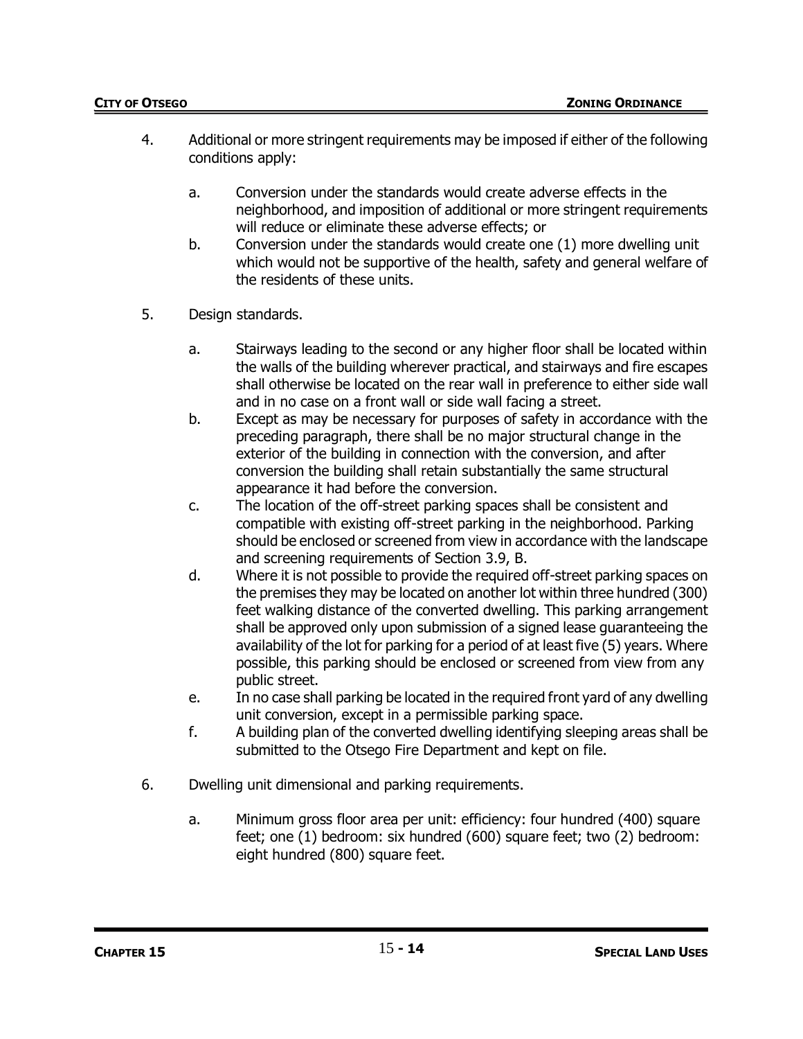- 4. Additional or more stringent requirements may be imposed if either of the following conditions apply:
	- a. Conversion under the standards would create adverse effects in the neighborhood, and imposition of additional or more stringent requirements will reduce or eliminate these adverse effects; or
	- b. Conversion under the standards would create one (1) more dwelling unit which would not be supportive of the health, safety and general welfare of the residents of these units.
- 5. Design standards.
	- a. Stairways leading to the second or any higher floor shall be located within the walls of the building wherever practical, and stairways and fire escapes shall otherwise be located on the rear wall in preference to either side wall and in no case on a front wall or side wall facing a street.
	- b. Except as may be necessary for purposes of safety in accordance with the preceding paragraph, there shall be no major structural change in the exterior of the building in connection with the conversion, and after conversion the building shall retain substantially the same structural appearance it had before the conversion.
	- c. The location of the off-street parking spaces shall be consistent and compatible with existing off-street parking in the neighborhood. Parking should be enclosed or screened from view in accordance with the landscape and screening requirements of Section 3.9, B.
	- d. Where it is not possible to provide the required off-street parking spaces on the premises they may be located on another lot within three hundred (300) feet walking distance of the converted dwelling. This parking arrangement shall be approved only upon submission of a signed lease guaranteeing the availability of the lot for parking for a period of at least five (5) years. Where possible, this parking should be enclosed or screened from view from any public street.
	- e. In no case shall parking be located in the required front yard of any dwelling unit conversion, except in a permissible parking space.
	- f. A building plan of the converted dwelling identifying sleeping areas shall be submitted to the Otsego Fire Department and kept on file.
- 6. Dwelling unit dimensional and parking requirements.
	- a. Minimum gross floor area per unit: efficiency: four hundred (400) square feet; one (1) bedroom: six hundred (600) square feet; two (2) bedroom: eight hundred (800) square feet.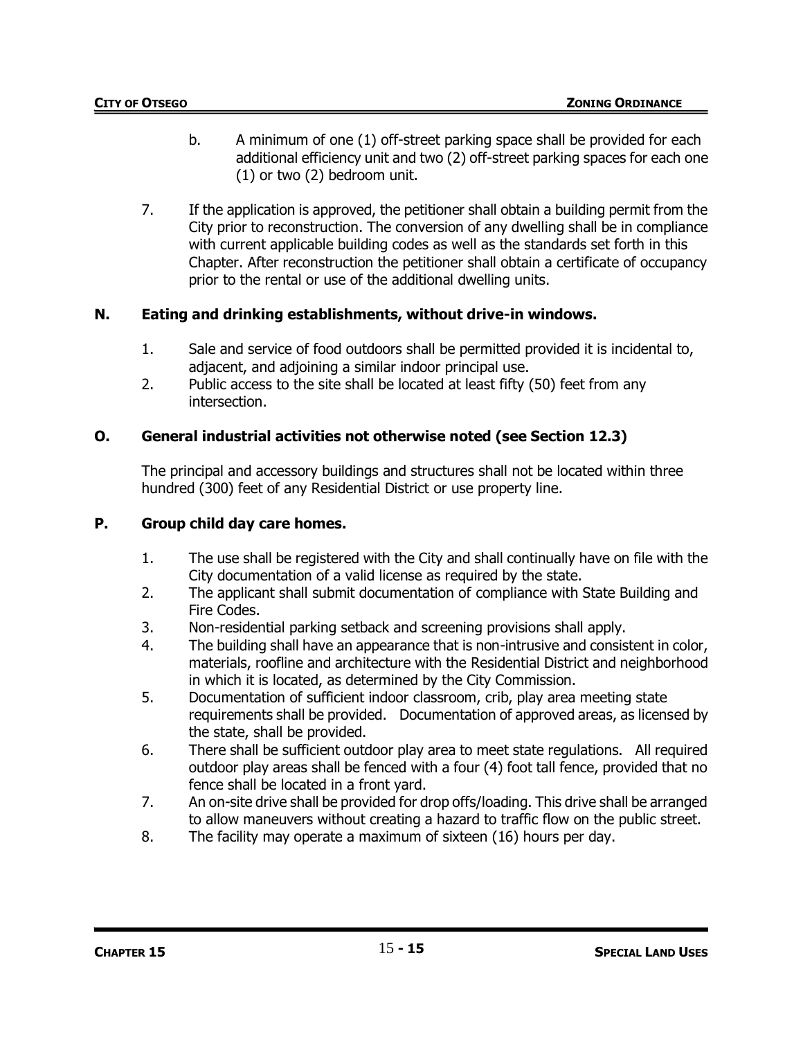- b. A minimum of one (1) off-street parking space shall be provided for each additional efficiency unit and two (2) off-street parking spaces for each one (1) or two (2) bedroom unit.
- 7. If the application is approved, the petitioner shall obtain a building permit from the City prior to reconstruction. The conversion of any dwelling shall be in compliance with current applicable building codes as well as the standards set forth in this Chapter. After reconstruction the petitioner shall obtain a certificate of occupancy prior to the rental or use of the additional dwelling units.

# **N. Eating and drinking establishments, without drive-in windows.**

- 1. Sale and service of food outdoors shall be permitted provided it is incidental to, adjacent, and adjoining a similar indoor principal use.
- 2. Public access to the site shall be located at least fifty (50) feet from any intersection.

# **O. General industrial activities not otherwise noted (see Section 12.3)**

The principal and accessory buildings and structures shall not be located within three hundred (300) feet of any Residential District or use property line.

## **P. Group child day care homes.**

- 1. The use shall be registered with the City and shall continually have on file with the City documentation of a valid license as required by the state.
- 2. The applicant shall submit documentation of compliance with State Building and Fire Codes.
- 3. Non-residential parking setback and screening provisions shall apply.
- 4. The building shall have an appearance that is non-intrusive and consistent in color, materials, roofline and architecture with the Residential District and neighborhood in which it is located, as determined by the City Commission.
- 5. Documentation of sufficient indoor classroom, crib, play area meeting state requirements shall be provided. Documentation of approved areas, as licensed by the state, shall be provided.
- 6. There shall be sufficient outdoor play area to meet state regulations. All required outdoor play areas shall be fenced with a four (4) foot tall fence, provided that no fence shall be located in a front yard.
- 7. An on-site drive shall be provided for drop offs/loading. This drive shall be arranged to allow maneuvers without creating a hazard to traffic flow on the public street.
- 8. The facility may operate a maximum of sixteen (16) hours per day.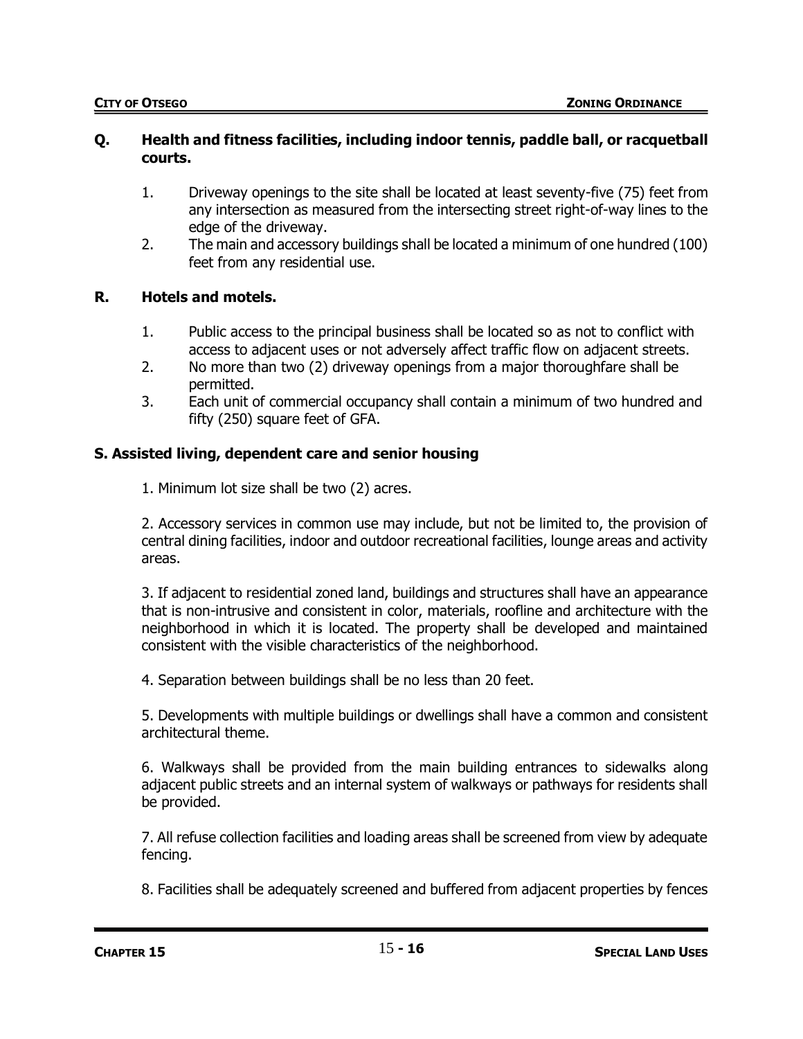### **Q. Health and fitness facilities, including indoor tennis, paddle ball, or racquetball courts.**

- 1. Driveway openings to the site shall be located at least seventy-five (75) feet from any intersection as measured from the intersecting street right-of-way lines to the edge of the driveway.
- 2. The main and accessory buildings shall be located a minimum of one hundred (100) feet from any residential use.

## **R. Hotels and motels.**

- 1. Public access to the principal business shall be located so as not to conflict with access to adjacent uses or not adversely affect traffic flow on adjacent streets.
- 2. No more than two (2) driveway openings from a major thoroughfare shall be permitted.
- 3. Each unit of commercial occupancy shall contain a minimum of two hundred and fifty (250) square feet of GFA.

# **S. Assisted living, dependent care and senior housing**

1. Minimum lot size shall be two (2) acres.

2. Accessory services in common use may include, but not be limited to, the provision of central dining facilities, indoor and outdoor recreational facilities, lounge areas and activity areas.

3. If adjacent to residential zoned land, buildings and structures shall have an appearance that is non-intrusive and consistent in color, materials, roofline and architecture with the neighborhood in which it is located. The property shall be developed and maintained consistent with the visible characteristics of the neighborhood.

4. Separation between buildings shall be no less than 20 feet.

5. Developments with multiple buildings or dwellings shall have a common and consistent architectural theme.

6. Walkways shall be provided from the main building entrances to sidewalks along adjacent public streets and an internal system of walkways or pathways for residents shall be provided.

7. All refuse collection facilities and loading areas shall be screened from view by adequate fencing.

8. Facilities shall be adequately screened and buffered from adjacent properties by fences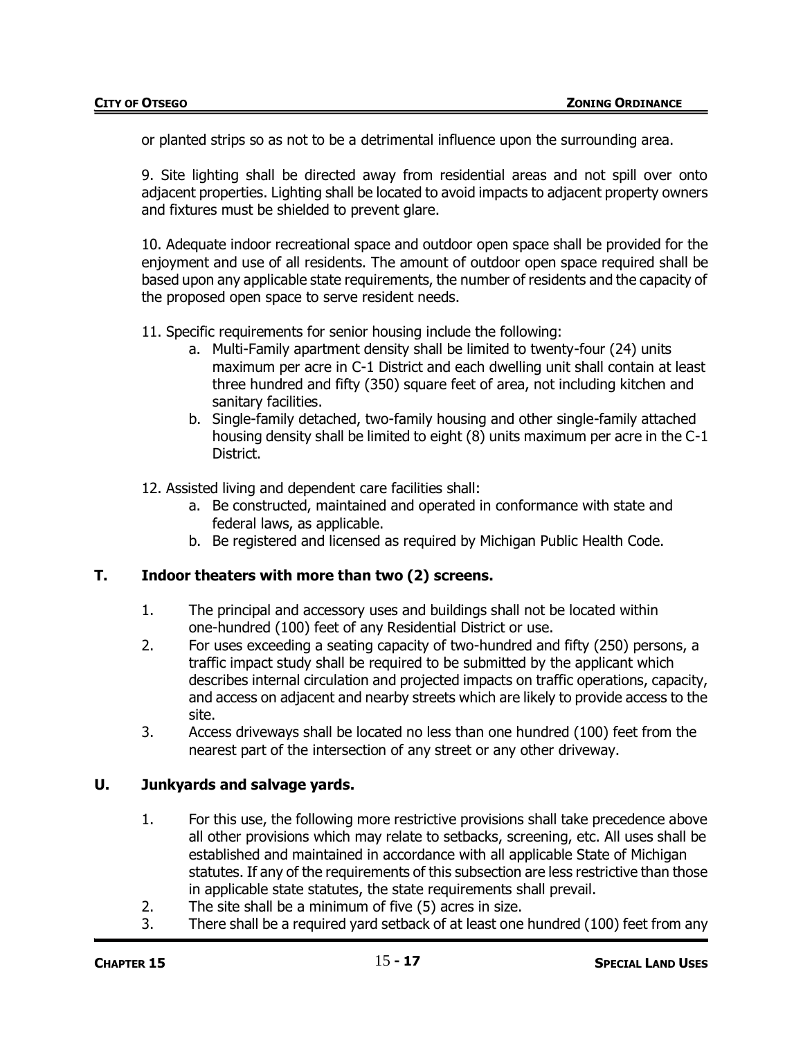or planted strips so as not to be a detrimental influence upon the surrounding area.

9. Site lighting shall be directed away from residential areas and not spill over onto adjacent properties. Lighting shall be located to avoid impacts to adjacent property owners and fixtures must be shielded to prevent glare.

10. Adequate indoor recreational space and outdoor open space shall be provided for the enjoyment and use of all residents. The amount of outdoor open space required shall be based upon any applicable state requirements, the number of residents and the capacity of the proposed open space to serve resident needs.

11. Specific requirements for senior housing include the following:

- a. Multi-Family apartment density shall be limited to twenty-four (24) units maximum per acre in C-1 District and each dwelling unit shall contain at least three hundred and fifty (350) square feet of area, not including kitchen and sanitary facilities.
- b. Single-family detached, two-family housing and other single-family attached housing density shall be limited to eight (8) units maximum per acre in the C-1 District.
- 12. Assisted living and dependent care facilities shall:
	- a. Be constructed, maintained and operated in conformance with state and federal laws, as applicable.
	- b. Be registered and licensed as required by Michigan Public Health Code.

#### **T. Indoor theaters with more than two (2) screens.**

- 1. The principal and accessory uses and buildings shall not be located within one-hundred (100) feet of any Residential District or use.
- 2. For uses exceeding a seating capacity of two-hundred and fifty (250) persons, a traffic impact study shall be required to be submitted by the applicant which describes internal circulation and projected impacts on traffic operations, capacity, and access on adjacent and nearby streets which are likely to provide access to the site.
- 3. Access driveways shall be located no less than one hundred (100) feet from the nearest part of the intersection of any street or any other driveway.

#### **U. Junkyards and salvage yards.**

- 1. For this use, the following more restrictive provisions shall take precedence above all other provisions which may relate to setbacks, screening, etc. All uses shall be established and maintained in accordance with all applicable State of Michigan statutes. If any of the requirements of this subsection are less restrictive than those in applicable state statutes, the state requirements shall prevail.
- 2. The site shall be a minimum of five (5) acres in size.
- 3. There shall be a required yard setback of at least one hundred (100) feet from any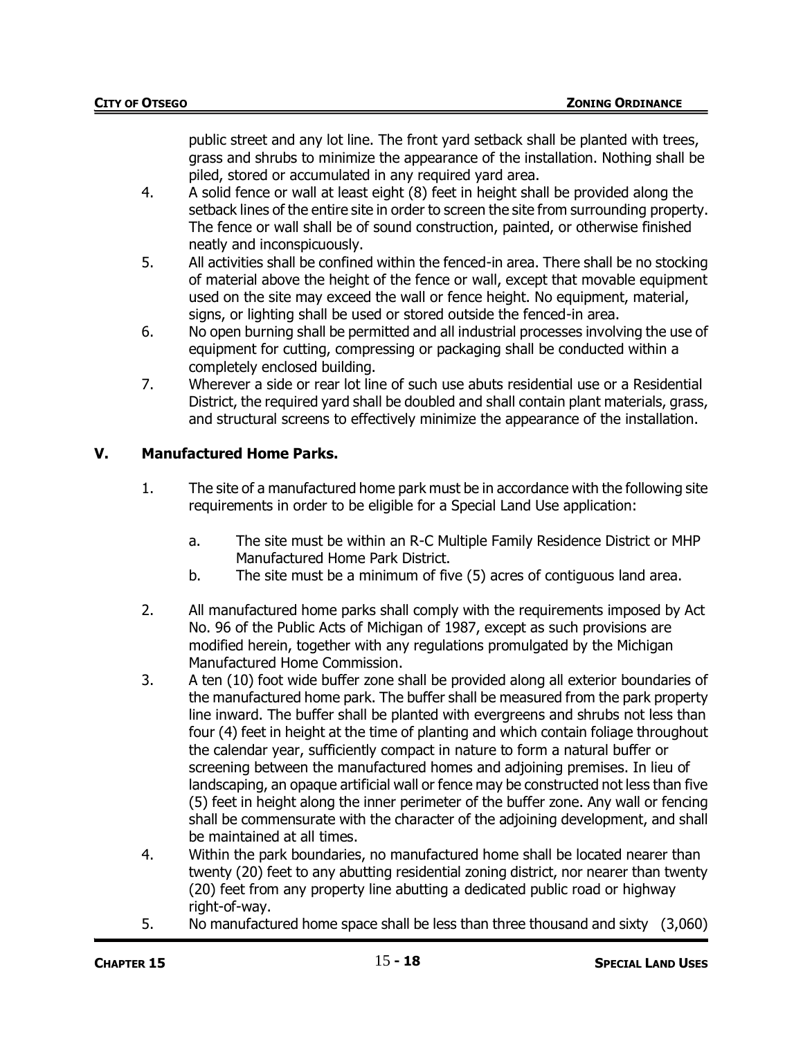public street and any lot line. The front yard setback shall be planted with trees, grass and shrubs to minimize the appearance of the installation. Nothing shall be piled, stored or accumulated in any required yard area.

- 4. A solid fence or wall at least eight (8) feet in height shall be provided along the setback lines of the entire site in order to screen the site from surrounding property. The fence or wall shall be of sound construction, painted, or otherwise finished neatly and inconspicuously.
- 5. All activities shall be confined within the fenced-in area. There shall be no stocking of material above the height of the fence or wall, except that movable equipment used on the site may exceed the wall or fence height. No equipment, material, signs, or lighting shall be used or stored outside the fenced-in area.
- 6. No open burning shall be permitted and all industrial processes involving the use of equipment for cutting, compressing or packaging shall be conducted within a completely enclosed building.
- 7. Wherever a side or rear lot line of such use abuts residential use or a Residential District, the required yard shall be doubled and shall contain plant materials, grass, and structural screens to effectively minimize the appearance of the installation.

# **V. Manufactured Home Parks.**

- 1. The site of a manufactured home park must be in accordance with the following site requirements in order to be eligible for a Special Land Use application:
	- a. The site must be within an R-C Multiple Family Residence District or MHP Manufactured Home Park District.
	- b. The site must be a minimum of five (5) acres of contiguous land area.
- 2. All manufactured home parks shall comply with the requirements imposed by Act No. 96 of the Public Acts of Michigan of 1987, except as such provisions are modified herein, together with any regulations promulgated by the Michigan Manufactured Home Commission.
- 3. A ten (10) foot wide buffer zone shall be provided along all exterior boundaries of the manufactured home park. The buffer shall be measured from the park property line inward. The buffer shall be planted with evergreens and shrubs not less than four (4) feet in height at the time of planting and which contain foliage throughout the calendar year, sufficiently compact in nature to form a natural buffer or screening between the manufactured homes and adjoining premises. In lieu of landscaping, an opaque artificial wall or fence may be constructed not less than five (5) feet in height along the inner perimeter of the buffer zone. Any wall or fencing shall be commensurate with the character of the adjoining development, and shall be maintained at all times.
- 4. Within the park boundaries, no manufactured home shall be located nearer than twenty (20) feet to any abutting residential zoning district, nor nearer than twenty (20) feet from any property line abutting a dedicated public road or highway right-of-way.
- 5. No manufactured home space shall be less than three thousand and sixty (3,060)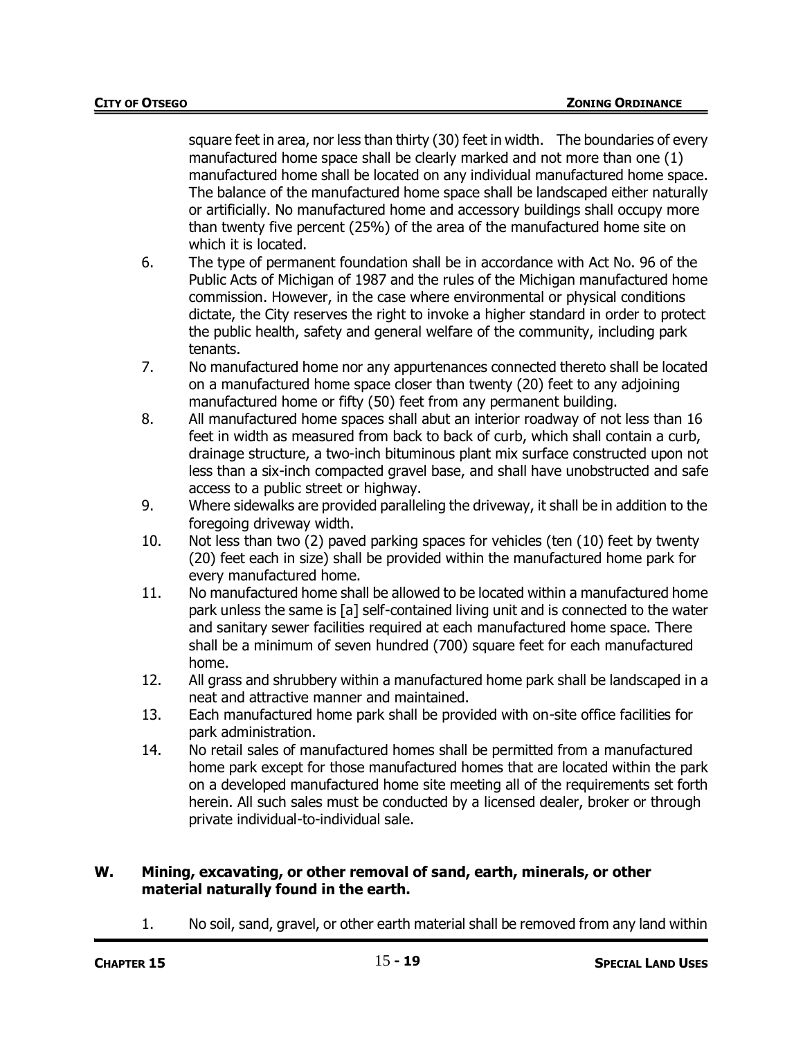square feet in area, nor less than thirty (30) feet in width. The boundaries of every manufactured home space shall be clearly marked and not more than one (1) manufactured home shall be located on any individual manufactured home space. The balance of the manufactured home space shall be landscaped either naturally or artificially. No manufactured home and accessory buildings shall occupy more than twenty five percent (25%) of the area of the manufactured home site on which it is located.

- 6. The type of permanent foundation shall be in accordance with Act No. 96 of the Public Acts of Michigan of 1987 and the rules of the Michigan manufactured home commission. However, in the case where environmental or physical conditions dictate, the City reserves the right to invoke a higher standard in order to protect the public health, safety and general welfare of the community, including park tenants.
- 7. No manufactured home nor any appurtenances connected thereto shall be located on a manufactured home space closer than twenty (20) feet to any adjoining manufactured home or fifty (50) feet from any permanent building.
- 8. All manufactured home spaces shall abut an interior roadway of not less than 16 feet in width as measured from back to back of curb, which shall contain a curb, drainage structure, a two-inch bituminous plant mix surface constructed upon not less than a six-inch compacted gravel base, and shall have unobstructed and safe access to a public street or highway.
- 9. Where sidewalks are provided paralleling the driveway, it shall be in addition to the foregoing driveway width.
- 10. Not less than two (2) paved parking spaces for vehicles (ten (10) feet by twenty (20) feet each in size) shall be provided within the manufactured home park for every manufactured home.
- 11. No manufactured home shall be allowed to be located within a manufactured home park unless the same is [a] self-contained living unit and is connected to the water and sanitary sewer facilities required at each manufactured home space. There shall be a minimum of seven hundred (700) square feet for each manufactured home.
- 12. All grass and shrubbery within a manufactured home park shall be landscaped in a neat and attractive manner and maintained.
- 13. Each manufactured home park shall be provided with on-site office facilities for park administration.
- 14. No retail sales of manufactured homes shall be permitted from a manufactured home park except for those manufactured homes that are located within the park on a developed manufactured home site meeting all of the requirements set forth herein. All such sales must be conducted by a licensed dealer, broker or through private individual-to-individual sale.

## **W. Mining, excavating, or other removal of sand, earth, minerals, or other material naturally found in the earth.**

1. No soil, sand, gravel, or other earth material shall be removed from any land within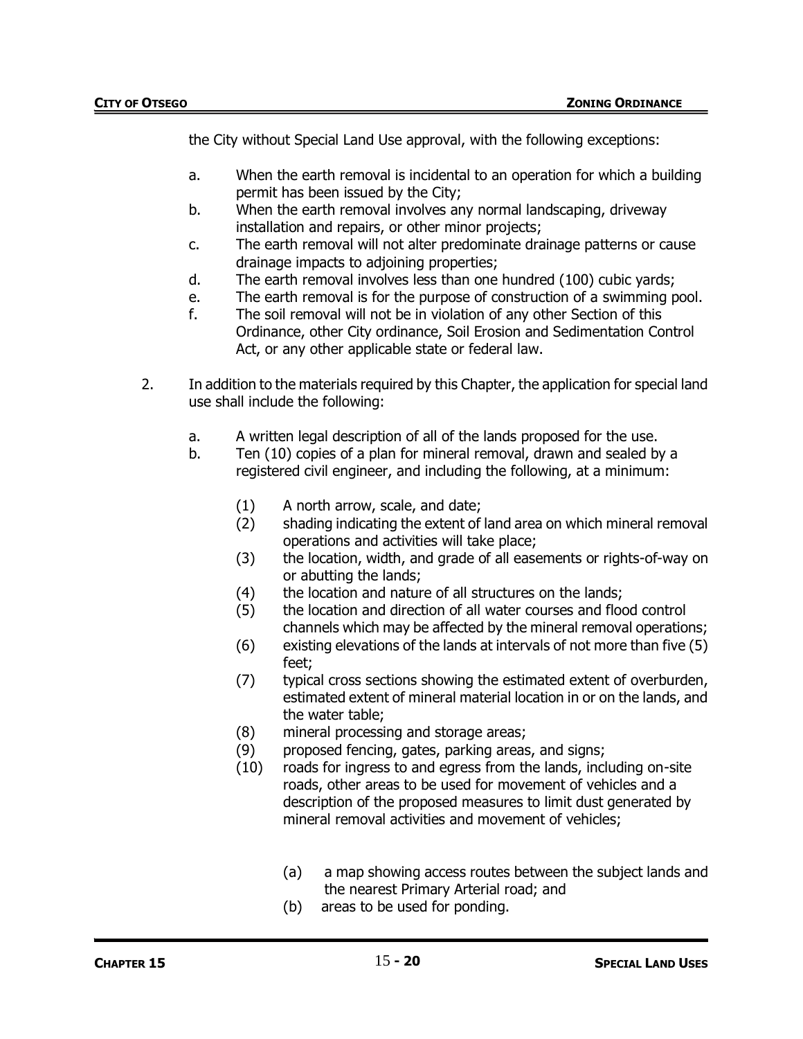the City without Special Land Use approval, with the following exceptions:

- a. When the earth removal is incidental to an operation for which a building permit has been issued by the City;
- b. When the earth removal involves any normal landscaping, driveway installation and repairs, or other minor projects;
- c. The earth removal will not alter predominate drainage patterns or cause drainage impacts to adjoining properties;
- d. The earth removal involves less than one hundred (100) cubic yards;
- e. The earth removal is for the purpose of construction of a swimming pool.
- f. The soil removal will not be in violation of any other Section of this Ordinance, other City ordinance, Soil Erosion and Sedimentation Control Act, or any other applicable state or federal law.
- 2. In addition to the materials required by this Chapter, the application for special land use shall include the following:
	- a. A written legal description of all of the lands proposed for the use.
	- b. Ten (10) copies of a plan for mineral removal, drawn and sealed by a registered civil engineer, and including the following, at a minimum:
		- (1) A north arrow, scale, and date;
		- (2) shading indicating the extent of land area on which mineral removal operations and activities will take place;
		- (3) the location, width, and grade of all easements or rights-of-way on or abutting the lands;
		- (4) the location and nature of all structures on the lands;
		- (5) the location and direction of all water courses and flood control channels which may be affected by the mineral removal operations;
		- (6) existing elevations of the lands at intervals of not more than five (5) feet;
		- (7) typical cross sections showing the estimated extent of overburden, estimated extent of mineral material location in or on the lands, and the water table;
		- (8) mineral processing and storage areas;
		- (9) proposed fencing, gates, parking areas, and signs;
		- (10) roads for ingress to and egress from the lands, including on-site roads, other areas to be used for movement of vehicles and a description of the proposed measures to limit dust generated by mineral removal activities and movement of vehicles;
			- (a) a map showing access routes between the subject lands and the nearest Primary Arterial road; and
			- (b) areas to be used for ponding.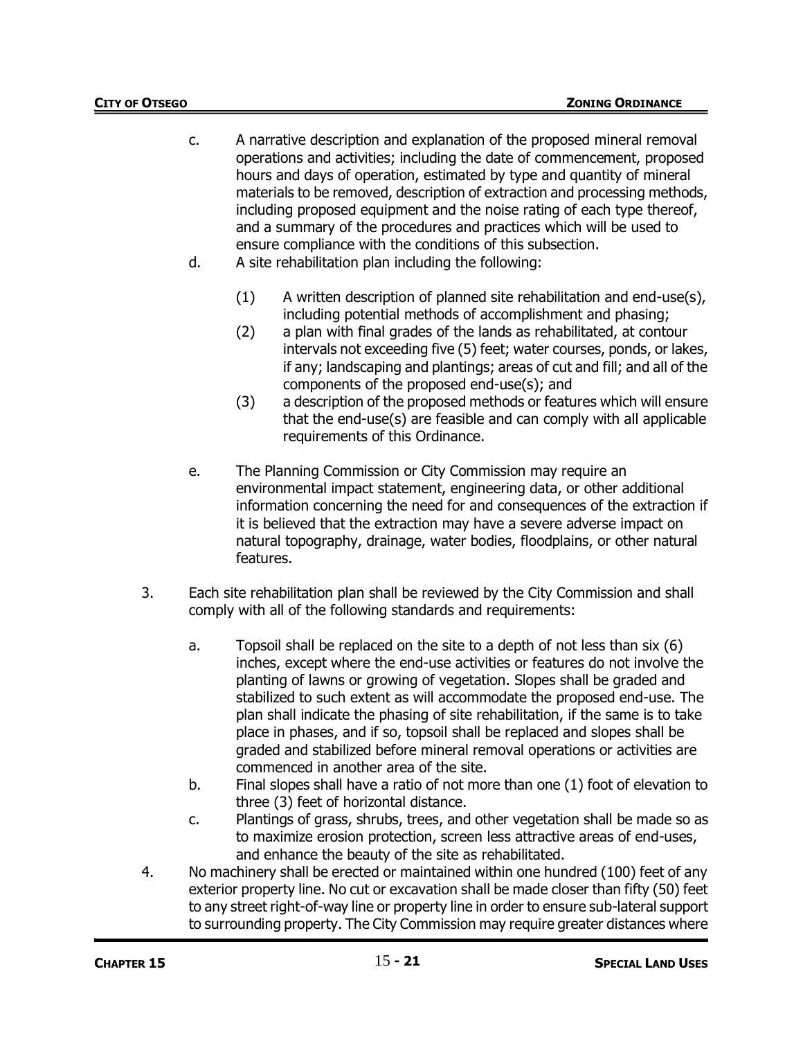- c. A narrative description and explanation of the proposed mineral removal operations and activities; including the date of commencement, proposed hours and days of operation, estimated by type and quantity of mineral materials to be removed, description of extraction and processing methods, including proposed equipment and the noise rating of each type thereof, and a summary of the procedures and practices which will be used to ensure compliance with the conditions of this subsection.
- d. A site rehabilitation plan including the following:
	- (1) A written description of planned site rehabilitation and end-use(s), including potential methods of accomplishment and phasing;
	- (2) a plan with final grades of the lands as rehabilitated, at contour intervals not exceeding five (5) feet; water courses, ponds, or lakes, if any; landscaping and plantings; areas of cut and fill; and all of the components of the proposed end-use(s); and
	- (3) a description of the proposed methods or features which will ensure that the end-use(s) are feasible and can comply with all applicable requirements of this Ordinance.
- e. The Planning Commission or City Commission may require an environmental impact statement, engineering data, or other additional information concerning the need for and consequences of the extraction if it is believed that the extraction may have a severe adverse impact on natural topography, drainage, water bodies, floodplains, or other natural features.
- 3. Each site rehabilitation plan shall be reviewed by the City Commission and shall comply with all of the following standards and requirements:
	- a. Topsoil shall be replaced on the site to a depth of not less than six (6) inches, except where the end-use activities or features do not involve the planting of lawns or growing of vegetation. Slopes shall be graded and stabilized to such extent as will accommodate the proposed end-use. The plan shall indicate the phasing of site rehabilitation, if the same is to take place in phases, and if so, topsoil shall be replaced and slopes shall be graded and stabilized before mineral removal operations or activities are commenced in another area of the site.
	- b. Final slopes shall have a ratio of not more than one (1) foot of elevation to three (3) feet of horizontal distance.
	- c. Plantings of grass, shrubs, trees, and other vegetation shall be made so as to maximize erosion protection, screen less attractive areas of end-uses, and enhance the beauty of the site as rehabilitated.
- 4. No machinery shall be erected or maintained within one hundred (100) feet of any exterior property line. No cut or excavation shall be made closer than fifty (50) feet to any street right-of-way line or property line in order to ensure sub-lateral support to surrounding property. The City Commission may require greater distances where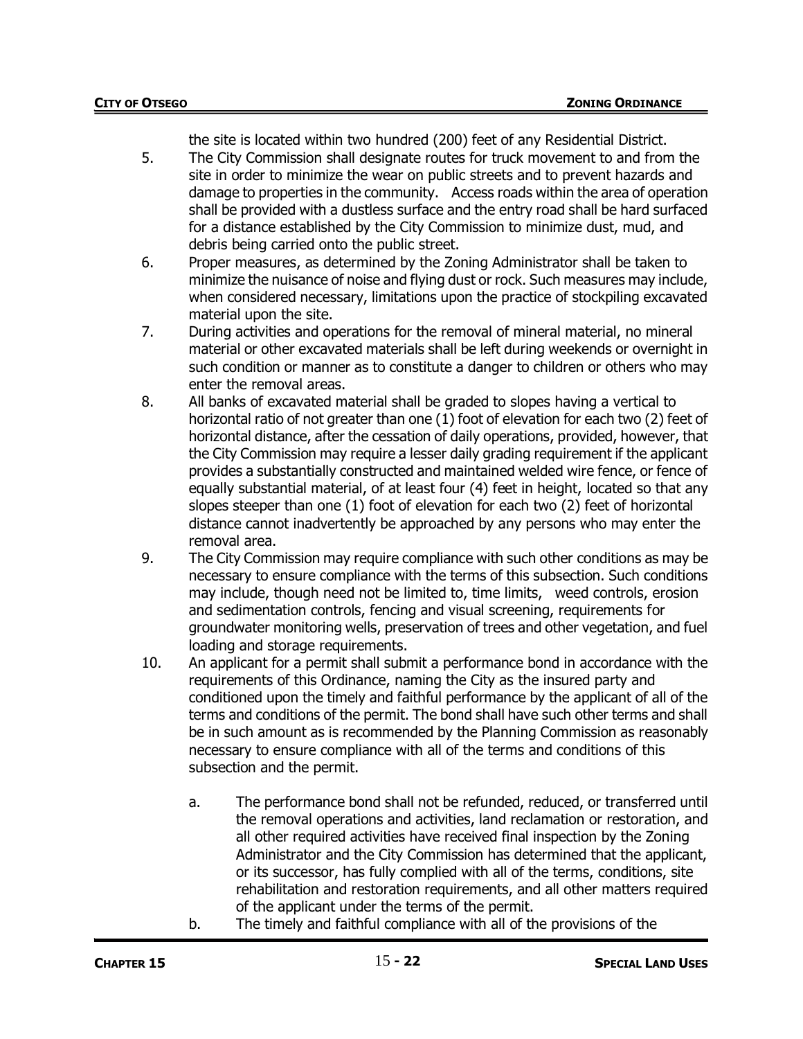the site is located within two hundred (200) feet of any Residential District.

- 5. The City Commission shall designate routes for truck movement to and from the site in order to minimize the wear on public streets and to prevent hazards and damage to properties in the community. Access roads within the area of operation shall be provided with a dustless surface and the entry road shall be hard surfaced for a distance established by the City Commission to minimize dust, mud, and debris being carried onto the public street.
- 6. Proper measures, as determined by the Zoning Administrator shall be taken to minimize the nuisance of noise and flying dust or rock. Such measures may include, when considered necessary, limitations upon the practice of stockpiling excavated material upon the site.
- 7. During activities and operations for the removal of mineral material, no mineral material or other excavated materials shall be left during weekends or overnight in such condition or manner as to constitute a danger to children or others who may enter the removal areas.
- 8. All banks of excavated material shall be graded to slopes having a vertical to horizontal ratio of not greater than one (1) foot of elevation for each two (2) feet of horizontal distance, after the cessation of daily operations, provided, however, that the City Commission may require a lesser daily grading requirement if the applicant provides a substantially constructed and maintained welded wire fence, or fence of equally substantial material, of at least four (4) feet in height, located so that any slopes steeper than one (1) foot of elevation for each two (2) feet of horizontal distance cannot inadvertently be approached by any persons who may enter the removal area.
- 9. The City Commission may require compliance with such other conditions as may be necessary to ensure compliance with the terms of this subsection. Such conditions may include, though need not be limited to, time limits, weed controls, erosion and sedimentation controls, fencing and visual screening, requirements for groundwater monitoring wells, preservation of trees and other vegetation, and fuel loading and storage requirements.
- 10. An applicant for a permit shall submit a performance bond in accordance with the requirements of this Ordinance, naming the City as the insured party and conditioned upon the timely and faithful performance by the applicant of all of the terms and conditions of the permit. The bond shall have such other terms and shall be in such amount as is recommended by the Planning Commission as reasonably necessary to ensure compliance with all of the terms and conditions of this subsection and the permit.
	- a. The performance bond shall not be refunded, reduced, or transferred until the removal operations and activities, land reclamation or restoration, and all other required activities have received final inspection by the Zoning Administrator and the City Commission has determined that the applicant, or its successor, has fully complied with all of the terms, conditions, site rehabilitation and restoration requirements, and all other matters required of the applicant under the terms of the permit.
	- b. The timely and faithful compliance with all of the provisions of the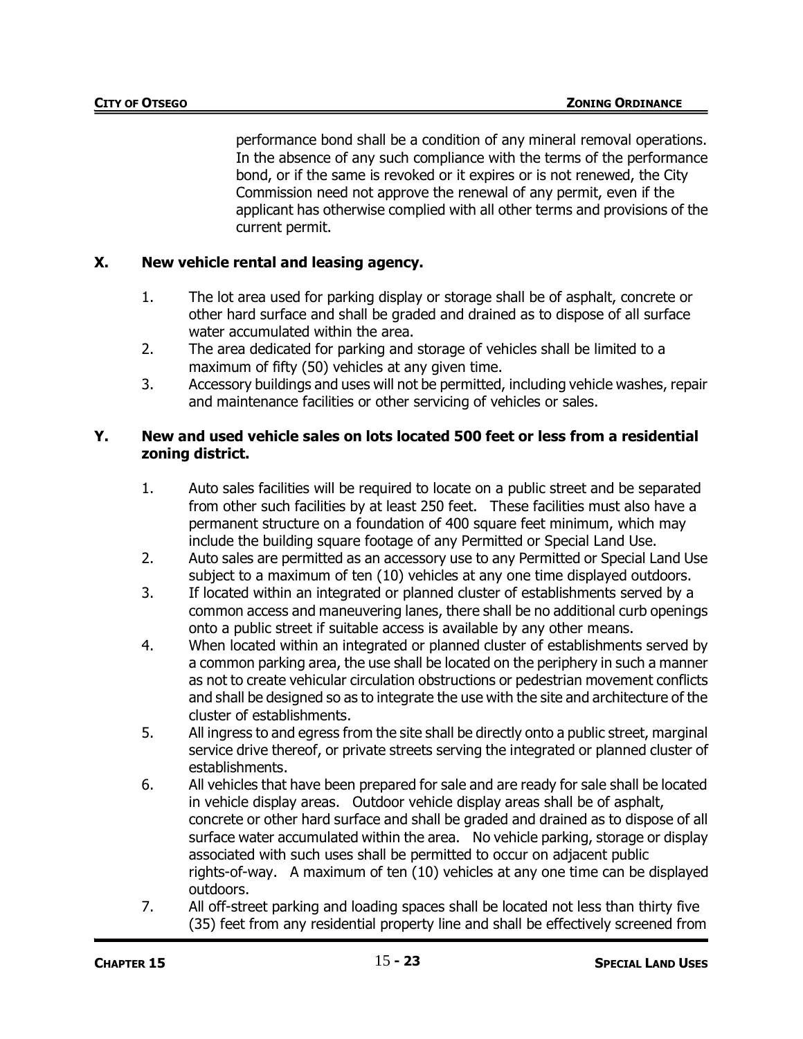performance bond shall be a condition of any mineral removal operations. In the absence of any such compliance with the terms of the performance bond, or if the same is revoked or it expires or is not renewed, the City Commission need not approve the renewal of any permit, even if the applicant has otherwise complied with all other terms and provisions of the current permit.

# **X. New vehicle rental and leasing agency.**

- 1. The lot area used for parking display or storage shall be of asphalt, concrete or other hard surface and shall be graded and drained as to dispose of all surface water accumulated within the area.
- 2. The area dedicated for parking and storage of vehicles shall be limited to a maximum of fifty (50) vehicles at any given time.
- 3. Accessory buildings and uses will not be permitted, including vehicle washes, repair and maintenance facilities or other servicing of vehicles or sales.

## **Y. New and used vehicle sales on lots located 500 feet or less from a residential zoning district.**

- 1. Auto sales facilities will be required to locate on a public street and be separated from other such facilities by at least 250 feet. These facilities must also have a permanent structure on a foundation of 400 square feet minimum, which may include the building square footage of any Permitted or Special Land Use.
- 2. Auto sales are permitted as an accessory use to any Permitted or Special Land Use subject to a maximum of ten (10) vehicles at any one time displayed outdoors.
- 3. If located within an integrated or planned cluster of establishments served by a common access and maneuvering lanes, there shall be no additional curb openings onto a public street if suitable access is available by any other means.
- 4. When located within an integrated or planned cluster of establishments served by a common parking area, the use shall be located on the periphery in such a manner as not to create vehicular circulation obstructions or pedestrian movement conflicts and shall be designed so as to integrate the use with the site and architecture of the cluster of establishments.
- 5. All ingress to and egress from the site shall be directly onto a public street, marginal service drive thereof, or private streets serving the integrated or planned cluster of establishments.
- 6. All vehicles that have been prepared for sale and are ready for sale shall be located in vehicle display areas. Outdoor vehicle display areas shall be of asphalt, concrete or other hard surface and shall be graded and drained as to dispose of all surface water accumulated within the area. No vehicle parking, storage or display associated with such uses shall be permitted to occur on adjacent public rights-of-way. A maximum of ten (10) vehicles at any one time can be displayed outdoors.
- 7. All off-street parking and loading spaces shall be located not less than thirty five (35) feet from any residential property line and shall be effectively screened from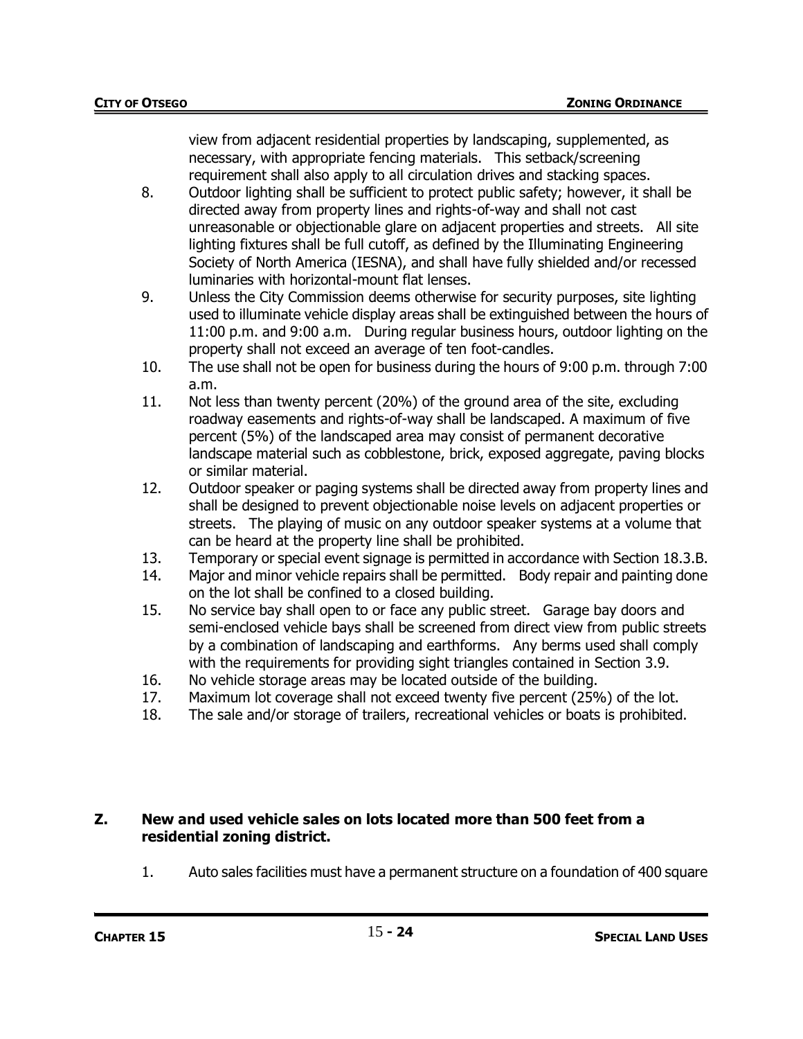view from adjacent residential properties by landscaping, supplemented, as necessary, with appropriate fencing materials. This setback/screening requirement shall also apply to all circulation drives and stacking spaces.

- 8. Outdoor lighting shall be sufficient to protect public safety; however, it shall be directed away from property lines and rights-of-way and shall not cast unreasonable or objectionable glare on adjacent properties and streets. All site lighting fixtures shall be full cutoff, as defined by the Illuminating Engineering Society of North America (IESNA), and shall have fully shielded and/or recessed luminaries with horizontal-mount flat lenses.
- 9. Unless the City Commission deems otherwise for security purposes, site lighting used to illuminate vehicle display areas shall be extinguished between the hours of 11:00 p.m. and 9:00 a.m. During regular business hours, outdoor lighting on the property shall not exceed an average of ten foot-candles.
- 10. The use shall not be open for business during the hours of 9:00 p.m. through 7:00 a.m.
- 11. Not less than twenty percent (20%) of the ground area of the site, excluding roadway easements and rights-of-way shall be landscaped. A maximum of five percent (5%) of the landscaped area may consist of permanent decorative landscape material such as cobblestone, brick, exposed aggregate, paving blocks or similar material.
- 12. Outdoor speaker or paging systems shall be directed away from property lines and shall be designed to prevent objectionable noise levels on adjacent properties or streets. The playing of music on any outdoor speaker systems at a volume that can be heard at the property line shall be prohibited.
- 13. Temporary or special event signage is permitted in accordance with Section 18.3.B.
- 14. Major and minor vehicle repairs shall be permitted. Body repair and painting done on the lot shall be confined to a closed building.
- 15. No service bay shall open to or face any public street. Garage bay doors and semi-enclosed vehicle bays shall be screened from direct view from public streets by a combination of landscaping and earthforms. Any berms used shall comply with the requirements for providing sight triangles contained in Section 3.9.
- 16. No vehicle storage areas may be located outside of the building.
- 17. Maximum lot coverage shall not exceed twenty five percent (25%) of the lot.
- 18. The sale and/or storage of trailers, recreational vehicles or boats is prohibited.

## **Z. New and used vehicle sales on lots located more than 500 feet from a residential zoning district.**

1. Auto sales facilities must have a permanent structure on a foundation of 400 square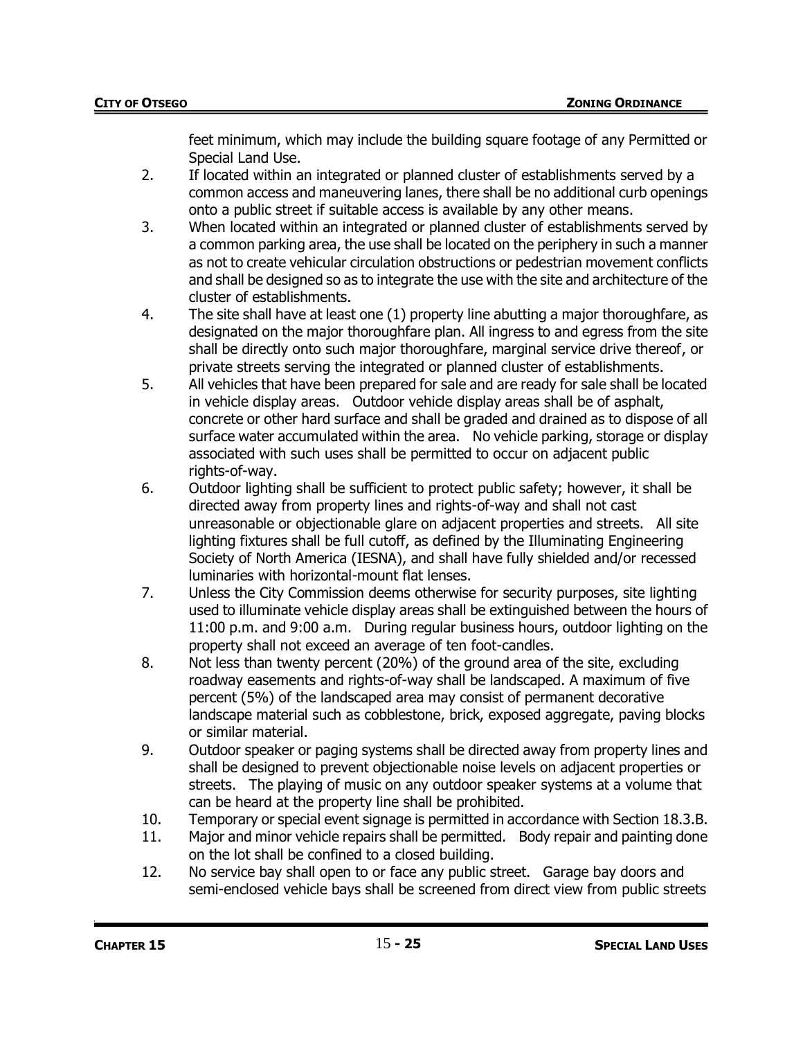feet minimum, which may include the building square footage of any Permitted or Special Land Use.

- 2. If located within an integrated or planned cluster of establishments served by a common access and maneuvering lanes, there shall be no additional curb openings onto a public street if suitable access is available by any other means.
- 3. When located within an integrated or planned cluster of establishments served by a common parking area, the use shall be located on the periphery in such a manner as not to create vehicular circulation obstructions or pedestrian movement conflicts and shall be designed so as to integrate the use with the site and architecture of the cluster of establishments.
- 4. The site shall have at least one (1) property line abutting a major thoroughfare, as designated on the major thoroughfare plan. All ingress to and egress from the site shall be directly onto such major thoroughfare, marginal service drive thereof, or private streets serving the integrated or planned cluster of establishments.
- 5. All vehicles that have been prepared for sale and are ready for sale shall be located in vehicle display areas. Outdoor vehicle display areas shall be of asphalt, concrete or other hard surface and shall be graded and drained as to dispose of all surface water accumulated within the area. No vehicle parking, storage or display associated with such uses shall be permitted to occur on adjacent public rights-of-way.
- 6. Outdoor lighting shall be sufficient to protect public safety; however, it shall be directed away from property lines and rights-of-way and shall not cast unreasonable or objectionable glare on adjacent properties and streets. All site lighting fixtures shall be full cutoff, as defined by the Illuminating Engineering Society of North America (IESNA), and shall have fully shielded and/or recessed luminaries with horizontal-mount flat lenses.
- 7. Unless the City Commission deems otherwise for security purposes, site lighting used to illuminate vehicle display areas shall be extinguished between the hours of 11:00 p.m. and 9:00 a.m. During regular business hours, outdoor lighting on the property shall not exceed an average of ten foot-candles.
- 8. Not less than twenty percent (20%) of the ground area of the site, excluding roadway easements and rights-of-way shall be landscaped. A maximum of five percent (5%) of the landscaped area may consist of permanent decorative landscape material such as cobblestone, brick, exposed aggregate, paving blocks or similar material.
- 9. Outdoor speaker or paging systems shall be directed away from property lines and shall be designed to prevent objectionable noise levels on adjacent properties or streets. The playing of music on any outdoor speaker systems at a volume that can be heard at the property line shall be prohibited.
- 10. Temporary or special event signage is permitted in accordance with Section 18.3.B.
- 11. Major and minor vehicle repairs shall be permitted. Body repair and painting done on the lot shall be confined to a closed building.
- 12. No service bay shall open to or face any public street. Garage bay doors and semi-enclosed vehicle bays shall be screened from direct view from public streets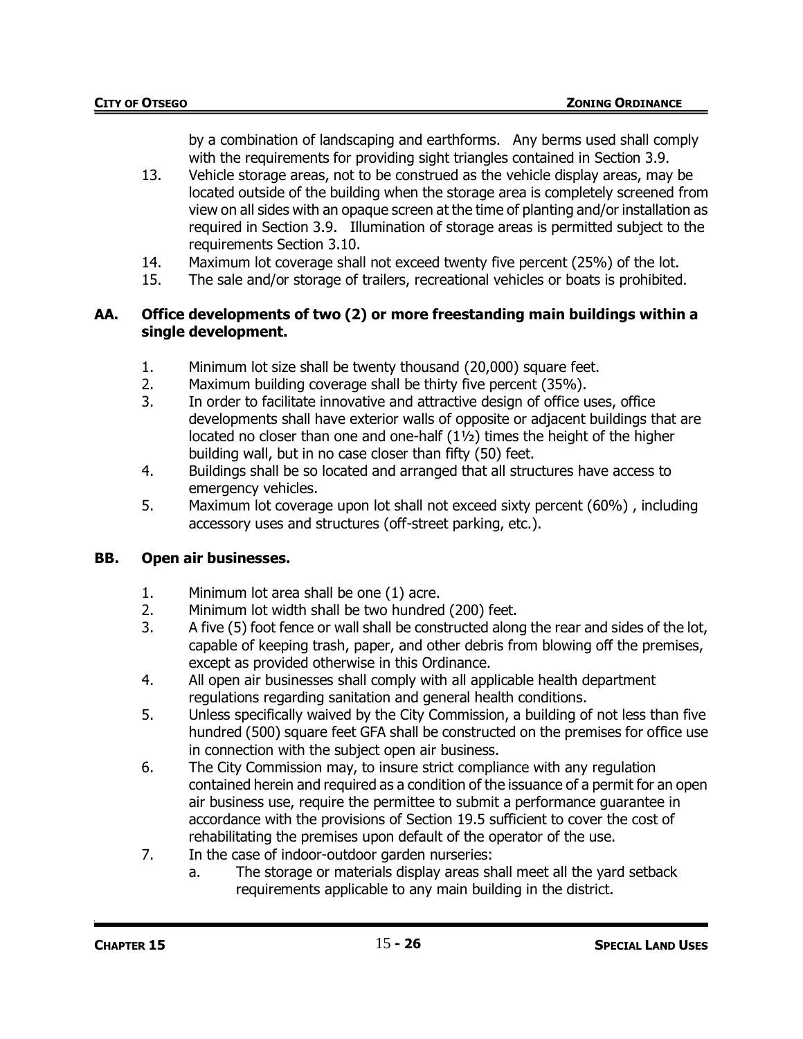by a combination of landscaping and earthforms. Any berms used shall comply with the requirements for providing sight triangles contained in Section 3.9.

- 13. Vehicle storage areas, not to be construed as the vehicle display areas, may be located outside of the building when the storage area is completely screened from view on all sides with an opaque screen at the time of planting and/or installation as required in Section 3.9. Illumination of storage areas is permitted subject to the requirements Section 3.10.
- 14. Maximum lot coverage shall not exceed twenty five percent (25%) of the lot.
- 15. The sale and/or storage of trailers, recreational vehicles or boats is prohibited.

### **AA. Office developments of two (2) or more freestanding main buildings within a single development.**

- 1. Minimum lot size shall be twenty thousand (20,000) square feet.
- 2. Maximum building coverage shall be thirty five percent (35%).
- 3. In order to facilitate innovative and attractive design of office uses, office developments shall have exterior walls of opposite or adjacent buildings that are located no closer than one and one-half (1½) times the height of the higher building wall, but in no case closer than fifty (50) feet.
- 4. Buildings shall be so located and arranged that all structures have access to emergency vehicles.
- 5. Maximum lot coverage upon lot shall not exceed sixty percent (60%) , including accessory uses and structures (off-street parking, etc.).

## **BB. Open air businesses.**

- 1. Minimum lot area shall be one (1) acre.
- 2. Minimum lot width shall be two hundred (200) feet.
- 3. A five (5) foot fence or wall shall be constructed along the rear and sides of the lot, capable of keeping trash, paper, and other debris from blowing off the premises, except as provided otherwise in this Ordinance.
- 4. All open air businesses shall comply with all applicable health department regulations regarding sanitation and general health conditions.
- 5. Unless specifically waived by the City Commission, a building of not less than five hundred (500) square feet GFA shall be constructed on the premises for office use in connection with the subject open air business.
- 6. The City Commission may, to insure strict compliance with any regulation contained herein and required as a condition of the issuance of a permit for an open air business use, require the permittee to submit a performance guarantee in accordance with the provisions of Section 19.5 sufficient to cover the cost of rehabilitating the premises upon default of the operator of the use.
- 7. In the case of indoor-outdoor garden nurseries:
	- a. The storage or materials display areas shall meet all the yard setback requirements applicable to any main building in the district.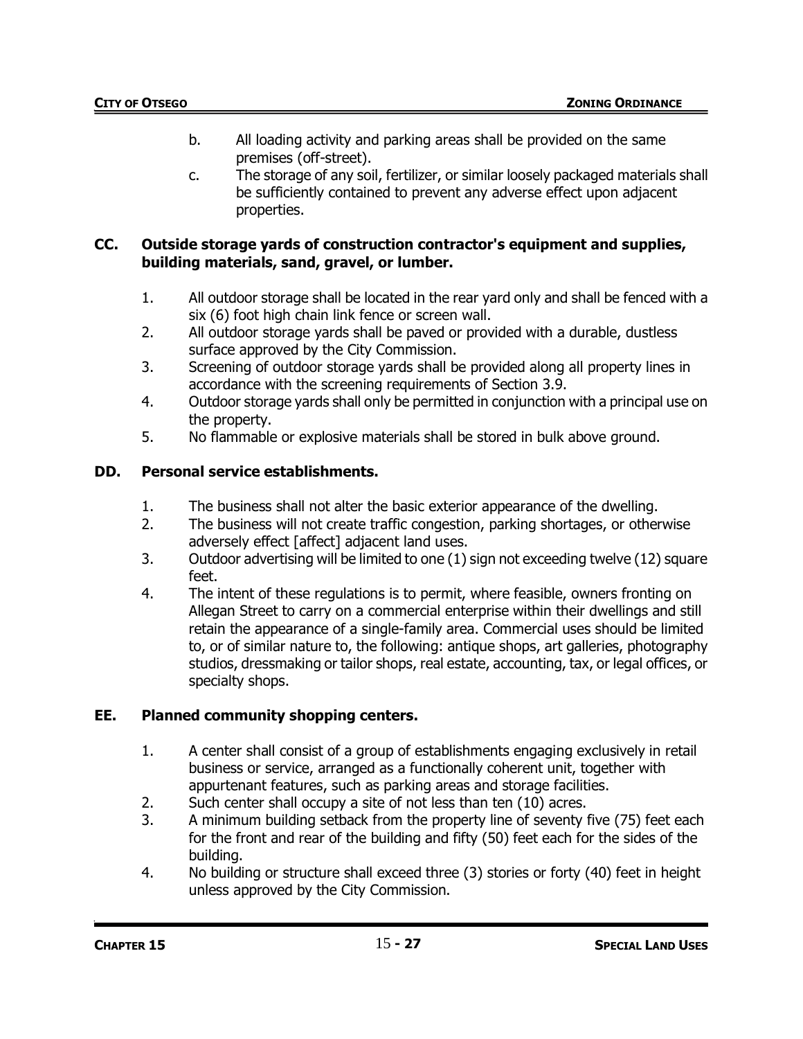- b. All loading activity and parking areas shall be provided on the same premises (off-street).
- c. The storage of any soil, fertilizer, or similar loosely packaged materials shall be sufficiently contained to prevent any adverse effect upon adjacent properties.

### **CC. Outside storage yards of construction contractor's equipment and supplies, building materials, sand, gravel, or lumber.**

- 1. All outdoor storage shall be located in the rear yard only and shall be fenced with a six (6) foot high chain link fence or screen wall.
- 2. All outdoor storage yards shall be paved or provided with a durable, dustless surface approved by the City Commission.
- 3. Screening of outdoor storage yards shall be provided along all property lines in accordance with the screening requirements of Section 3.9.
- 4. Outdoor storage yards shall only be permitted in conjunction with a principal use on the property.
- 5. No flammable or explosive materials shall be stored in bulk above ground.

# **DD. Personal service establishments.**

- 1. The business shall not alter the basic exterior appearance of the dwelling.
- 2. The business will not create traffic congestion, parking shortages, or otherwise adversely effect [affect] adjacent land uses.
- 3. Outdoor advertising will be limited to one (1) sign not exceeding twelve (12) square feet.
- 4. The intent of these regulations is to permit, where feasible, owners fronting on Allegan Street to carry on a commercial enterprise within their dwellings and still retain the appearance of a single-family area. Commercial uses should be limited to, or of similar nature to, the following: antique shops, art galleries, photography studios, dressmaking or tailor shops, real estate, accounting, tax, or legal offices, or specialty shops.

## **EE. Planned community shopping centers.**

- 1. A center shall consist of a group of establishments engaging exclusively in retail business or service, arranged as a functionally coherent unit, together with appurtenant features, such as parking areas and storage facilities.
- 2. Such center shall occupy a site of not less than ten (10) acres.
- 3. A minimum building setback from the property line of seventy five (75) feet each for the front and rear of the building and fifty (50) feet each for the sides of the building.
- 4. No building or structure shall exceed three (3) stories or forty (40) feet in height unless approved by the City Commission.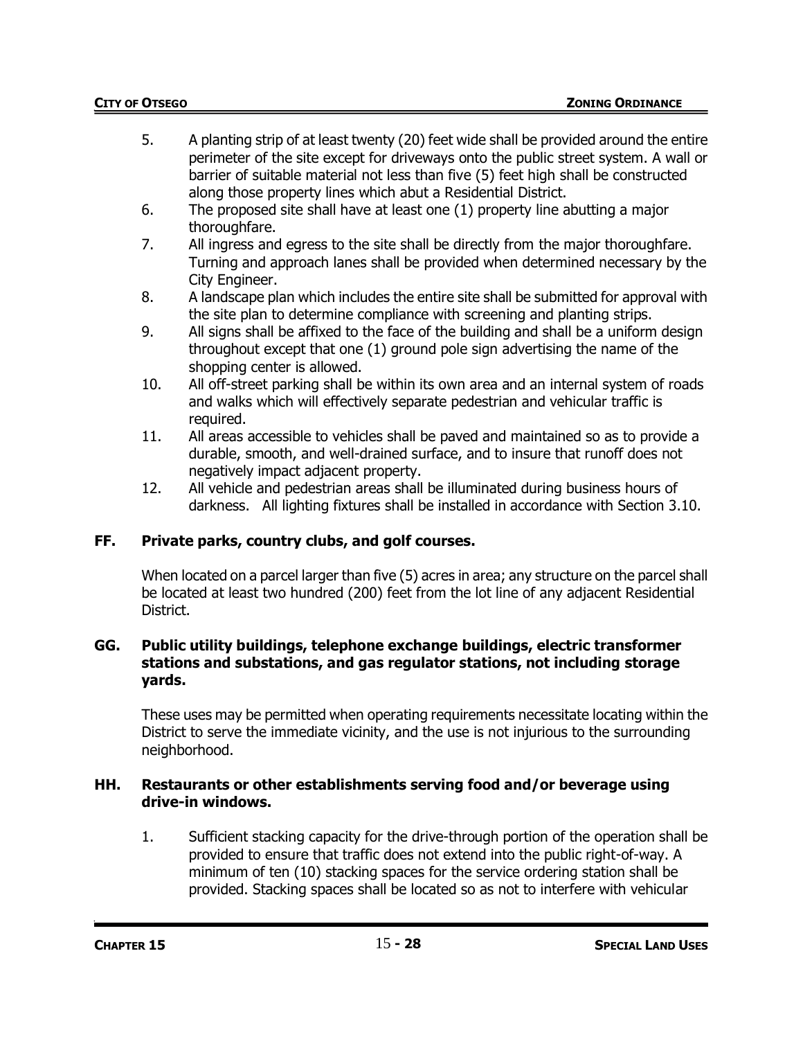- 5. A planting strip of at least twenty (20) feet wide shall be provided around the entire perimeter of the site except for driveways onto the public street system. A wall or barrier of suitable material not less than five (5) feet high shall be constructed along those property lines which abut a Residential District.
- 6. The proposed site shall have at least one (1) property line abutting a major thoroughfare.
- 7. All ingress and egress to the site shall be directly from the major thoroughfare. Turning and approach lanes shall be provided when determined necessary by the City Engineer.
- 8. A landscape plan which includes the entire site shall be submitted for approval with the site plan to determine compliance with screening and planting strips.
- 9. All signs shall be affixed to the face of the building and shall be a uniform design throughout except that one (1) ground pole sign advertising the name of the shopping center is allowed.
- 10. All off-street parking shall be within its own area and an internal system of roads and walks which will effectively separate pedestrian and vehicular traffic is required.
- 11. All areas accessible to vehicles shall be paved and maintained so as to provide a durable, smooth, and well-drained surface, and to insure that runoff does not negatively impact adjacent property.
- 12. All vehicle and pedestrian areas shall be illuminated during business hours of darkness. All lighting fixtures shall be installed in accordance with Section 3.10.

# **FF. Private parks, country clubs, and golf courses.**

When located on a parcel larger than five (5) acres in area; any structure on the parcel shall be located at least two hundred (200) feet from the lot line of any adjacent Residential District.

### **GG. Public utility buildings, telephone exchange buildings, electric transformer stations and substations, and gas regulator stations, not including storage yards.**

These uses may be permitted when operating requirements necessitate locating within the District to serve the immediate vicinity, and the use is not injurious to the surrounding neighborhood.

### **HH. Restaurants or other establishments serving food and/or beverage using drive-in windows.**

1. Sufficient stacking capacity for the drive-through portion of the operation shall be provided to ensure that traffic does not extend into the public right-of-way. A minimum of ten (10) stacking spaces for the service ordering station shall be provided. Stacking spaces shall be located so as not to interfere with vehicular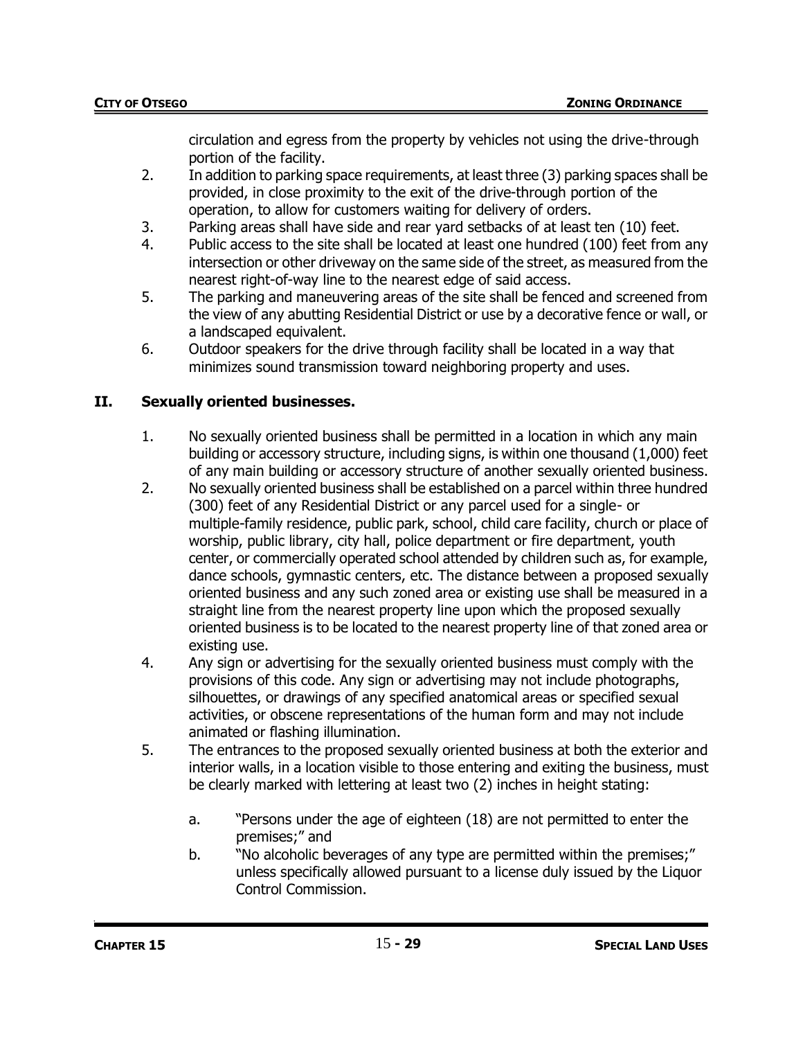circulation and egress from the property by vehicles not using the drive-through portion of the facility.

- 2. In addition to parking space requirements, at least three (3) parking spaces shall be provided, in close proximity to the exit of the drive-through portion of the operation, to allow for customers waiting for delivery of orders.
- 3. Parking areas shall have side and rear yard setbacks of at least ten (10) feet.
- 4. Public access to the site shall be located at least one hundred (100) feet from any intersection or other driveway on the same side of the street, as measured from the nearest right-of-way line to the nearest edge of said access.
- 5. The parking and maneuvering areas of the site shall be fenced and screened from the view of any abutting Residential District or use by a decorative fence or wall, or a landscaped equivalent.
- 6. Outdoor speakers for the drive through facility shall be located in a way that minimizes sound transmission toward neighboring property and uses.

# **II. Sexually oriented businesses.**

- 1. No sexually oriented business shall be permitted in a location in which any main building or accessory structure, including signs, is within one thousand (1,000) feet of any main building or accessory structure of another sexually oriented business.
- 2. No sexually oriented business shall be established on a parcel within three hundred (300) feet of any Residential District or any parcel used for a single- or multiple-family residence, public park, school, child care facility, church or place of worship, public library, city hall, police department or fire department, youth center, or commercially operated school attended by children such as, for example, dance schools, gymnastic centers, etc. The distance between a proposed sexually oriented business and any such zoned area or existing use shall be measured in a straight line from the nearest property line upon which the proposed sexually oriented business is to be located to the nearest property line of that zoned area or existing use.
- 4. Any sign or advertising for the sexually oriented business must comply with the provisions of this code. Any sign or advertising may not include photographs, silhouettes, or drawings of any specified anatomical areas or specified sexual activities, or obscene representations of the human form and may not include animated or flashing illumination.
- 5. The entrances to the proposed sexually oriented business at both the exterior and interior walls, in a location visible to those entering and exiting the business, must be clearly marked with lettering at least two (2) inches in height stating:
	- a. "Persons under the age of eighteen (18) are not permitted to enter the premises;" and
	- b. "No alcoholic beverages of any type are permitted within the premises;" unless specifically allowed pursuant to a license duly issued by the Liquor Control Commission.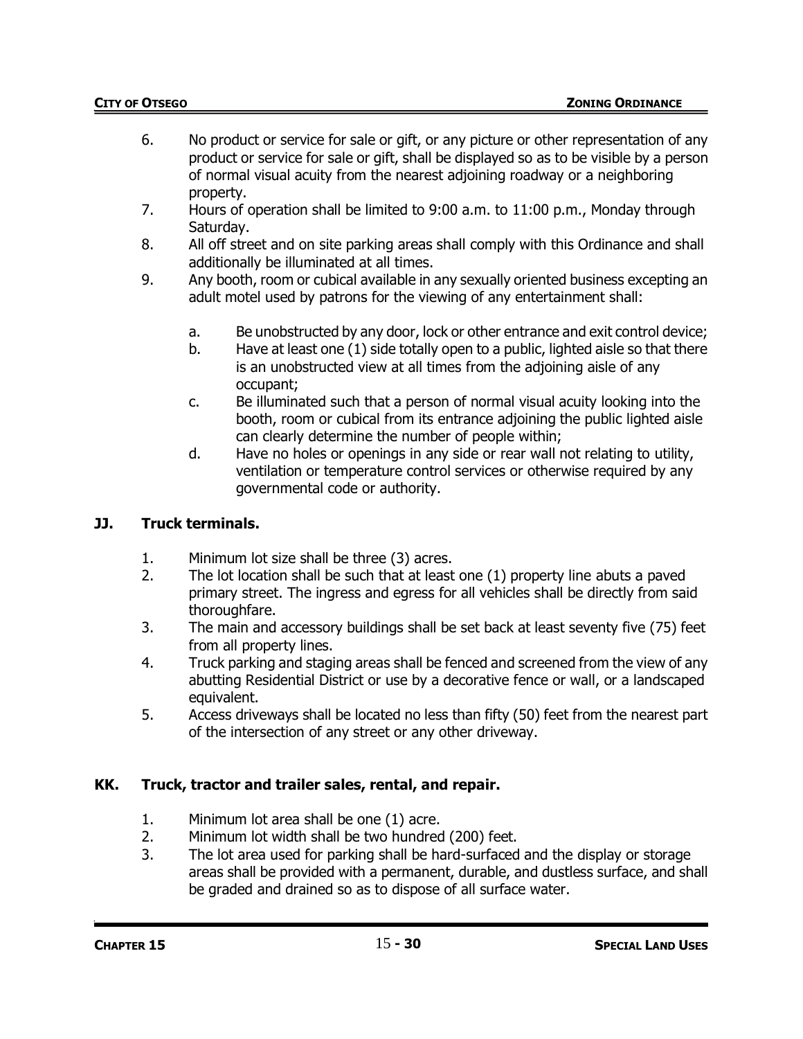- 6. No product or service for sale or gift, or any picture or other representation of any product or service for sale or gift, shall be displayed so as to be visible by a person of normal visual acuity from the nearest adjoining roadway or a neighboring property.
- 7. Hours of operation shall be limited to 9:00 a.m. to 11:00 p.m., Monday through Saturday.
- 8. All off street and on site parking areas shall comply with this Ordinance and shall additionally be illuminated at all times.
- 9. Any booth, room or cubical available in any sexually oriented business excepting an adult motel used by patrons for the viewing of any entertainment shall:
	- a. Be unobstructed by any door, lock or other entrance and exit control device;
	- b. Have at least one (1) side totally open to a public, lighted aisle so that there is an unobstructed view at all times from the adjoining aisle of any occupant;
	- c. Be illuminated such that a person of normal visual acuity looking into the booth, room or cubical from its entrance adjoining the public lighted aisle can clearly determine the number of people within;
	- d. Have no holes or openings in any side or rear wall not relating to utility, ventilation or temperature control services or otherwise required by any governmental code or authority.

## **JJ. Truck terminals.**

- 1. Minimum lot size shall be three (3) acres.
- 2. The lot location shall be such that at least one (1) property line abuts a paved primary street. The ingress and egress for all vehicles shall be directly from said thoroughfare.
- 3. The main and accessory buildings shall be set back at least seventy five (75) feet from all property lines.
- 4. Truck parking and staging areas shall be fenced and screened from the view of any abutting Residential District or use by a decorative fence or wall, or a landscaped equivalent.
- 5. Access driveways shall be located no less than fifty (50) feet from the nearest part of the intersection of any street or any other driveway.

## **KK. Truck, tractor and trailer sales, rental, and repair.**

- 1. Minimum lot area shall be one (1) acre.
- 2. Minimum lot width shall be two hundred (200) feet.
- 3. The lot area used for parking shall be hard-surfaced and the display or storage areas shall be provided with a permanent, durable, and dustless surface, and shall be graded and drained so as to dispose of all surface water.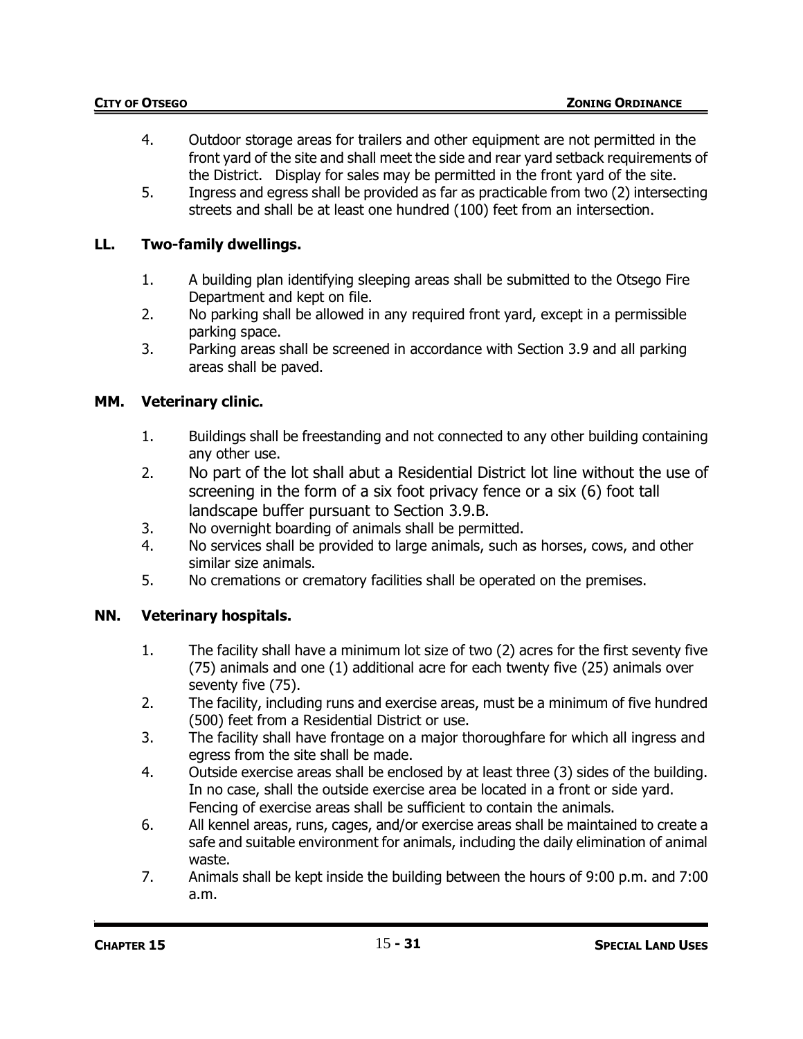- 4. Outdoor storage areas for trailers and other equipment are not permitted in the front yard of the site and shall meet the side and rear yard setback requirements of the District. Display for sales may be permitted in the front yard of the site.
- 5. Ingress and egress shall be provided as far as practicable from two (2) intersecting streets and shall be at least one hundred (100) feet from an intersection.

# **LL. Two-family dwellings.**

- 1. A building plan identifying sleeping areas shall be submitted to the Otsego Fire Department and kept on file.
- 2. No parking shall be allowed in any required front yard, except in a permissible parking space.
- 3. Parking areas shall be screened in accordance with Section 3.9 and all parking areas shall be paved.

# **MM. Veterinary clinic.**

- 1. Buildings shall be freestanding and not connected to any other building containing any other use.
- 2. No part of the lot shall abut a Residential District lot line without the use of screening in the form of a six foot privacy fence or a six (6) foot tall landscape buffer pursuant to Section 3.9.B.
- 3. No overnight boarding of animals shall be permitted.
- 4. No services shall be provided to large animals, such as horses, cows, and other similar size animals.
- 5. No cremations or crematory facilities shall be operated on the premises.

# **NN. Veterinary hospitals.**

- 1. The facility shall have a minimum lot size of two (2) acres for the first seventy five (75) animals and one (1) additional acre for each twenty five (25) animals over seventy five (75).
- 2. The facility, including runs and exercise areas, must be a minimum of five hundred (500) feet from a Residential District or use.
- 3. The facility shall have frontage on a major thoroughfare for which all ingress and egress from the site shall be made.
- 4. Outside exercise areas shall be enclosed by at least three (3) sides of the building. In no case, shall the outside exercise area be located in a front or side yard. Fencing of exercise areas shall be sufficient to contain the animals.
- 6. All kennel areas, runs, cages, and/or exercise areas shall be maintained to create a safe and suitable environment for animals, including the daily elimination of animal waste.
- 7. Animals shall be kept inside the building between the hours of 9:00 p.m. and 7:00 a.m.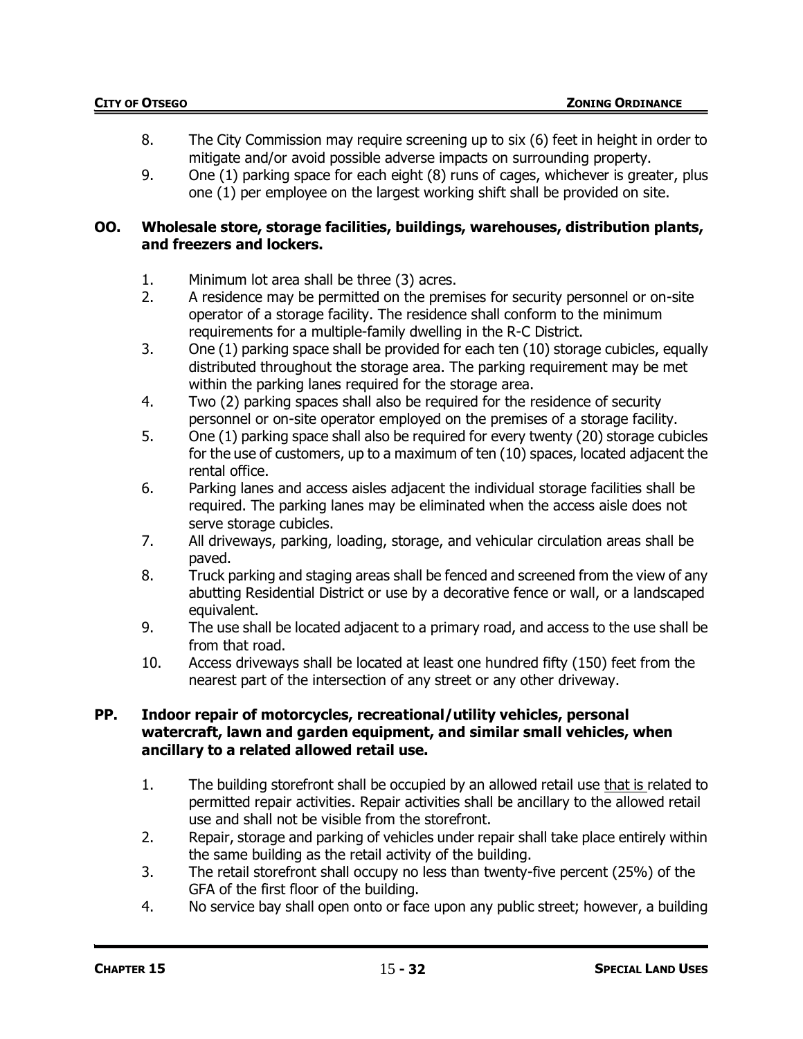- 8. The City Commission may require screening up to six (6) feet in height in order to mitigate and/or avoid possible adverse impacts on surrounding property.
- 9. One (1) parking space for each eight (8) runs of cages, whichever is greater, plus one (1) per employee on the largest working shift shall be provided on site.

#### **OO. Wholesale store, storage facilities, buildings, warehouses, distribution plants, and freezers and lockers.**

- 1. Minimum lot area shall be three (3) acres.
- 2. A residence may be permitted on the premises for security personnel or on-site operator of a storage facility. The residence shall conform to the minimum requirements for a multiple-family dwelling in the R-C District.
- 3. One (1) parking space shall be provided for each ten (10) storage cubicles, equally distributed throughout the storage area. The parking requirement may be met within the parking lanes required for the storage area.
- 4. Two (2) parking spaces shall also be required for the residence of security personnel or on-site operator employed on the premises of a storage facility.
- 5. One (1) parking space shall also be required for every twenty (20) storage cubicles for the use of customers, up to a maximum of ten (10) spaces, located adjacent the rental office.
- 6. Parking lanes and access aisles adjacent the individual storage facilities shall be required. The parking lanes may be eliminated when the access aisle does not serve storage cubicles.
- 7. All driveways, parking, loading, storage, and vehicular circulation areas shall be paved.
- 8. Truck parking and staging areas shall be fenced and screened from the view of any abutting Residential District or use by a decorative fence or wall, or a landscaped equivalent.
- 9. The use shall be located adjacent to a primary road, and access to the use shall be from that road.
- 10. Access driveways shall be located at least one hundred fifty (150) feet from the nearest part of the intersection of any street or any other driveway.

#### **PP. Indoor repair of motorcycles, recreational/utility vehicles, personal watercraft, lawn and garden equipment, and similar small vehicles, when ancillary to a related allowed retail use.**

- 1. The building storefront shall be occupied by an allowed retail use that is related to permitted repair activities. Repair activities shall be ancillary to the allowed retail use and shall not be visible from the storefront.
- 2. Repair, storage and parking of vehicles under repair shall take place entirely within the same building as the retail activity of the building.
- 3. The retail storefront shall occupy no less than twenty-five percent (25%) of the GFA of the first floor of the building.
- 4. No service bay shall open onto or face upon any public street; however, a building